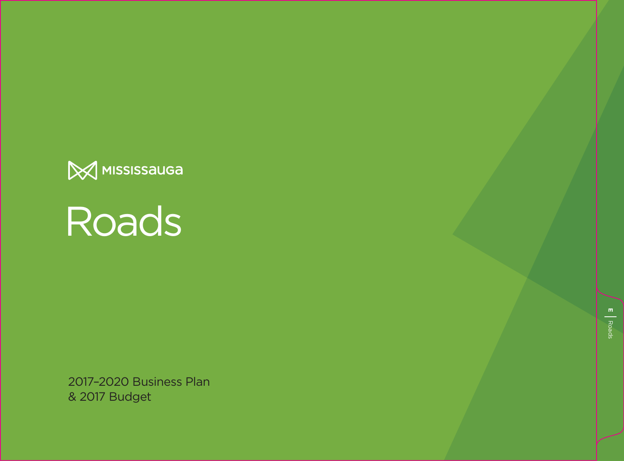



2017–2020 Business Plan & 2017 Budget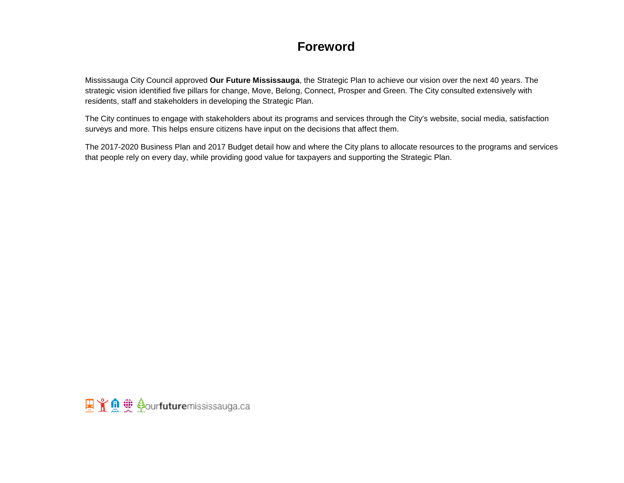# **Foreword**

Mississauga City Council approved **Our Future Mississauga**, the Strategic Plan to achieve our vision over the next 40 years. The strategic vision identified five pillars for change, Move, Belong, Connect, Prosper and Green. The City consulted extensively with residents, staff and stakeholders in developing the Strategic Plan.

The City continues to engage with stakeholders about its programs and services through the City's website, social media, satisfaction surveys and more. This helps ensure citizens have input on the decisions that affect them.

The 2017-2020 Business Plan and 2017 Budget detail how and where the City plans to allocate resources to the programs and services that people rely on every day, while providing good value for taxpayers and supporting the Strategic Plan.

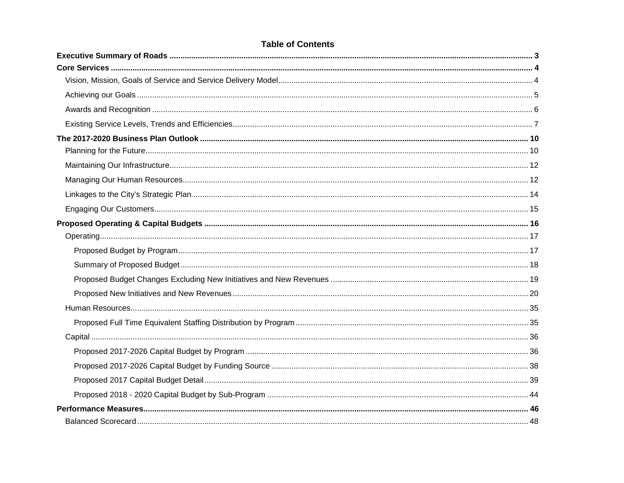## **Table of Contents**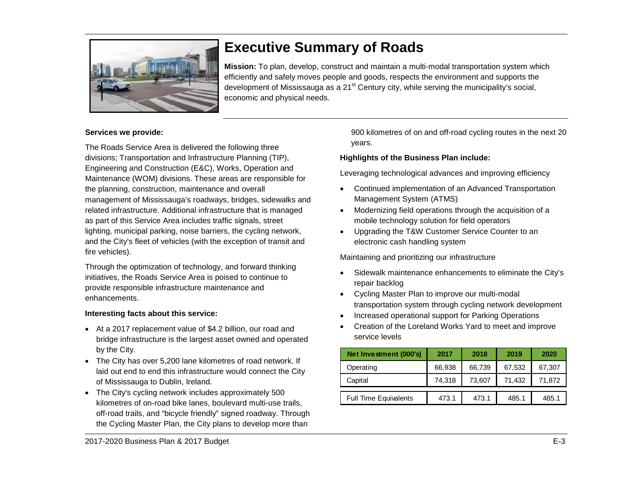

# <span id="page-3-0"></span>**Executive Summary of Roads**

**Mission:** To plan, develop, construct and maintain a multi-modal transportation system which efficiently and safely moves people and goods, respects the environment and supports the development of Mississauga as a  $21<sup>st</sup>$  Century city, while serving the municipality's social, economic and physical needs.

#### **Services we provide:**

The Roads Service Area is delivered the following three divisions; Transportation and Infrastructure Planning (TIP), Engineering and Construction (E&C), Works, Operation and Maintenance (WOM) divisions. These areas are responsible for the planning, construction, maintenance and overall management of Mississauga's roadways, bridges, sidewalks and related infrastructure. Additional infrastructure that is managed as part of this Service Area includes traffic signals, street lighting, municipal parking, noise barriers, the cycling network, and the City's fleet of vehicles (with the exception of transit and fire vehicles).

Through the optimization of technology, and forward thinking initiatives, the Roads Service Area is poised to continue to provide responsible infrastructure maintenance and enhancements.

#### **Interesting facts about this service:**

- At a 2017 replacement value of \$4.2 billion, our road and bridge infrastructure is the largest asset owned and operated by the City.
- The City has over 5,200 lane kilometres of road network. If laid out end to end this infrastructure would connect the City of Mississauga to Dublin, Ireland.
- The City's cycling network includes approximately 500 kilometres of on-road bike lanes, boulevard multi-use trails, off-road trails, and "bicycle friendly" signed roadway. Through the Cycling Master Plan, the City plans to develop more than

900 kilometres of on and off-road cycling routes in the next 20 years.

#### **Highlights of the Business Plan include:**

Leveraging technological advances and improving efficiency

- Continued implementation of an Advanced Transportation Management System (ATMS)
- Modernizing field operations through the acquisition of a mobile technology solution for field operators
- Upgrading the T&W Customer Service Counter to an electronic cash handling system

Maintaining and prioritizing our infrastructure

- Sidewalk maintenance enhancements to eliminate the City's repair backlog
- Cycling Master Plan to improve our multi-modal transportation system through cycling network development
- Increased operational support for Parking Operations
- Creation of the Loreland Works Yard to meet and improve service levels

| Net Investment (000's)       | 2017   | 2018   | 2019   | 2020   |
|------------------------------|--------|--------|--------|--------|
| Operating                    | 66,938 | 66,739 | 67,532 | 67,307 |
| Capital                      | 74.318 | 73,607 | 71,432 | 71,872 |
| <b>Full Time Equivalents</b> | 473.1  | 473.1  | 485.1  | 485.1  |
|                              |        |        |        |        |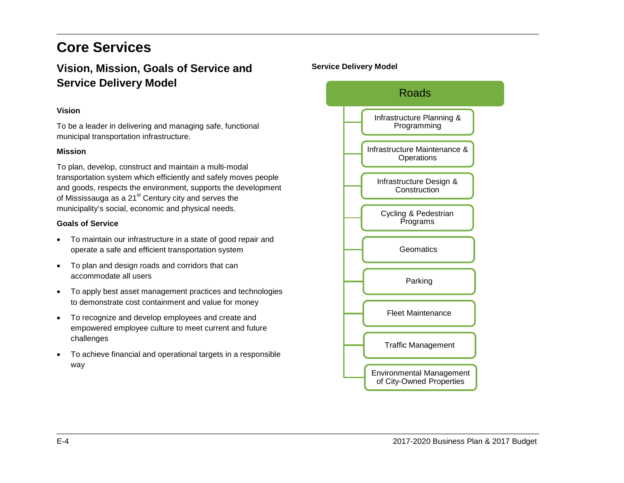# <span id="page-4-0"></span>**Core Services**

# <span id="page-4-1"></span>**Vision, Mission, Goals of Service and Service Delivery Model**

### **Vision**

To be a leader in delivering and managing safe, functional municipal transportation infrastructure.

#### **Mission**

To plan, develop, construct and maintain a multi-modal transportation system which efficiently and safely moves people and goods, respects the environment, supports the development of Mississauga as a  $21<sup>st</sup>$  Century city and serves the municipality's social, economic and physical needs.

#### **Goals of Service**

- To maintain our infrastructure in a state of good repair and operate a safe and efficient transportation system
- To plan and design roads and corridors that can accommodate all users
- To apply best asset management practices and technologies to demonstrate cost containment and value for money
- To recognize and develop employees and create and empowered employee culture to meet current and future challenges
- To achieve financial and operational targets in a responsible way

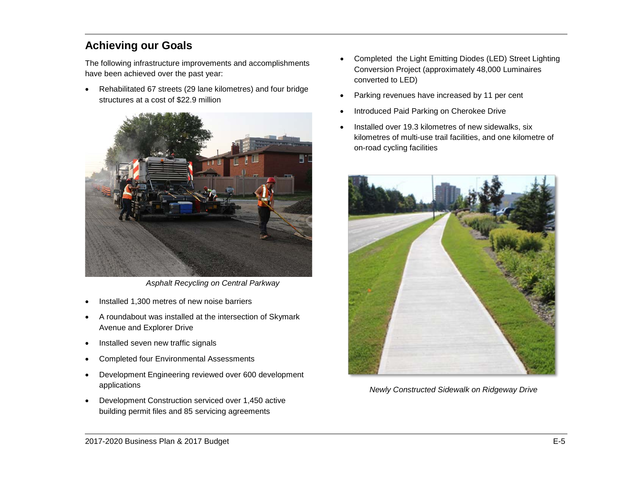# <span id="page-5-0"></span>**Achieving our Goals**

The following infrastructure improvements and accomplishments have been achieved over the past year:

• Rehabilitated 67 streets (29 lane kilometres) and four bridge structures at a cost of \$22.9 million



*Asphalt Recycling on Central Parkway*

- Installed 1,300 metres of new noise barriers
- A roundabout was installed at the intersection of Skymark Avenue and Explorer Drive
- Installed seven new traffic signals
- Completed four Environmental Assessments
- Development Engineering reviewed over 600 development applications
- Development Construction serviced over 1,450 active building permit files and 85 servicing agreements
- Completed the Light Emitting Diodes (LED) Street Lighting Conversion Project (approximately 48,000 Luminaires converted to LED)
- Parking revenues have increased by 11 per cent
- Introduced Paid Parking on Cherokee Drive
- Installed over 19.3 kilometres of new sidewalks, six kilometres of multi-use trail facilities, and one kilometre of on-road cycling facilities



*Newly Constructed Sidewalk on Ridgeway Drive*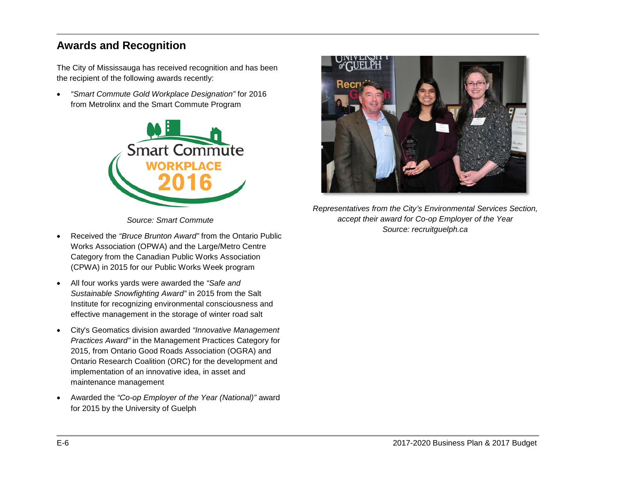# <span id="page-6-0"></span>**Awards and Recognition**

The City of Mississauga has received recognition and has been the recipient of the following awards recently:

• *"Smart Commute Gold Workplace Designation"* for 2016 from Metrolinx and the Smart Commute Program



*Source: Smart Commute*

- Received the *"Bruce Brunton Award"* from the Ontario Public Works Association (OPWA) and the Large/Metro Centre Category from the Canadian Public Works Association (CPWA) in 2015 for our Public Works Week program
- All four works yards were awarded the *"Safe and Sustainable Snowfighting Award"* in 2015 from the Salt Institute for recognizing environmental consciousness and effective management in the storage of winter road salt
- City's Geomatics division awarded *"Innovative Management Practices Award"* in the Management Practices Category for 2015, from Ontario Good Roads Association (OGRA) and Ontario Research Coalition (ORC) for the development and implementation of an innovative idea, in asset and maintenance management
- Awarded the *"Co-op Employer of the Year (National)"* award for 2015 by the University of Guelph



*Representatives from the City's Environmental Services Section, accept their award for Co-op Employer of the Year Source: recruitguelph.ca*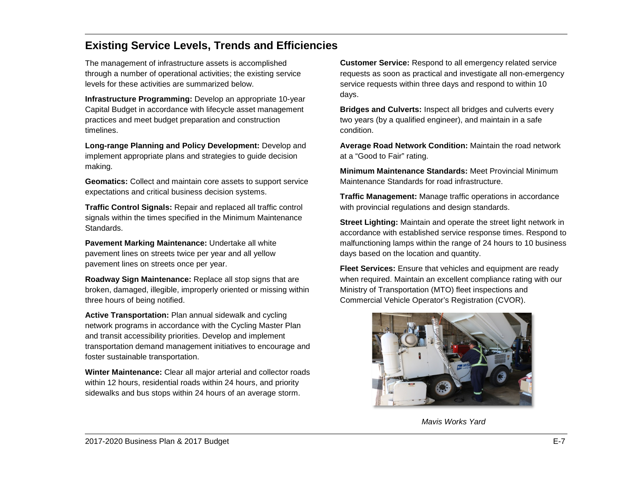# <span id="page-7-0"></span>**Existing Service Levels, Trends and Efficiencies**

The management of infrastructure assets is accomplished through a number of operational activities; the existing service levels for these activities are summarized below.

**Infrastructure Programming:** Develop an appropriate 10-year Capital Budget in accordance with lifecycle asset management practices and meet budget preparation and construction timelines.

**Long-range Planning and Policy Development:** Develop and implement appropriate plans and strategies to guide decision making.

**Geomatics:** Collect and maintain core assets to support service expectations and critical business decision systems.

**Traffic Control Signals:** Repair and replaced all traffic control signals within the times specified in the Minimum Maintenance Standards.

**Pavement Marking Maintenance:** Undertake all white pavement lines on streets twice per year and all yellow pavement lines on streets once per year.

**Roadway Sign Maintenance:** Replace all stop signs that are broken, damaged, illegible, improperly oriented or missing within three hours of being notified.

**Active Transportation:** Plan annual sidewalk and cycling network programs in accordance with the Cycling Master Plan and transit accessibility priorities. Develop and implement transportation demand management initiatives to encourage and foster sustainable transportation.

**Winter Maintenance:** Clear all major arterial and collector roads within 12 hours, residential roads within 24 hours, and priority sidewalks and bus stops within 24 hours of an average storm.

**Customer Service:** Respond to all emergency related service requests as soon as practical and investigate all non-emergency service requests within three days and respond to within 10 days.

**Bridges and Culverts:** Inspect all bridges and culverts every two years (by a qualified engineer), and maintain in a safe condition.

**Average Road Network Condition:** Maintain the road network at a "Good to Fair" rating.

**Minimum Maintenance Standards:** Meet Provincial Minimum Maintenance Standards for road infrastructure.

**Traffic Management:** Manage traffic operations in accordance with provincial regulations and design standards.

**Street Lighting:** Maintain and operate the street light network in accordance with established service response times. Respond to malfunctioning lamps within the range of 24 hours to 10 business days based on the location and quantity.

**Fleet Services:** Ensure that vehicles and equipment are ready when required. Maintain an excellent compliance rating with our Ministry of Transportation (MTO) fleet inspections and Commercial Vehicle Operator's Registration (CVOR).



*Mavis Works Yard*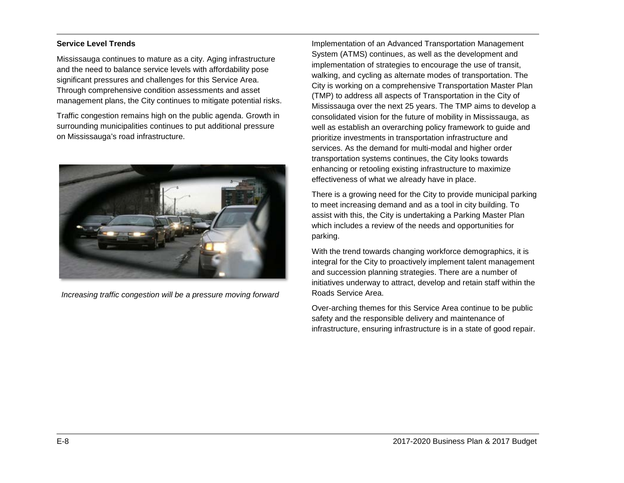#### **Service Level Trends**

Mississauga continues to mature as a city. Aging infrastructure and the need to balance service levels with affordability pose significant pressures and challenges for this Service Area. Through comprehensive condition assessments and asset management plans, the City continues to mitigate potential risks.

Traffic congestion remains high on the public agenda. Growth in surrounding municipalities continues to put additional pressure on Mississauga's road infrastructure.



*Increasing traffic congestion will be a pressure moving forward*

Implementation of an Advanced Transportation Management System (ATMS) continues, as well as the development and implementation of strategies to encourage the use of transit, walking, and cycling as alternate modes of transportation. The City is working on a comprehensive Transportation Master Plan (TMP) to address all aspects of Transportation in the City of Mississauga over the next 25 years. The TMP aims to develop a consolidated vision for the future of mobility in Mississauga, as well as establish an overarching policy framework to guide and prioritize investments in transportation infrastructure and services. As the demand for multi-modal and higher order transportation systems continues, the City looks towards enhancing or retooling existing infrastructure to maximize effectiveness of what we already have in place.

There is a growing need for the City to provide municipal parking to meet increasing demand and as a tool in city building. To assist with this, the City is undertaking a Parking Master Plan which includes a review of the needs and opportunities for parking.

With the trend towards changing workforce demographics, it is integral for the City to proactively implement talent management and succession planning strategies. There are a number of initiatives underway to attract, develop and retain staff within the Roads Service Area.

Over-arching themes for this Service Area continue to be public safety and the responsible delivery and maintenance of infrastructure, ensuring infrastructure is in a state of good repair.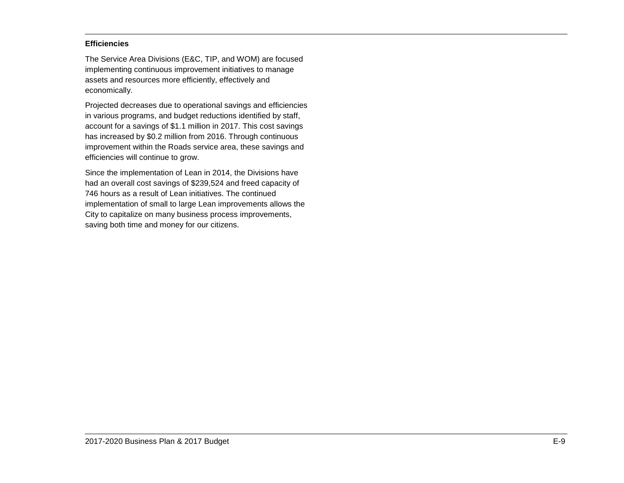#### **Efficiencies**

The Service Area Divisions (E&C, TIP, and WOM) are focused implementing continuous improvement initiatives to manage assets and resources more efficiently, effectively and economically.

Projected decreases due to operational savings and efficiencies in various programs, and budget reductions identified by staff, account for a savings of \$1.1 million in 2017. This cost savings has increased by \$0.2 million from 2016. Through continuous improvement within the Roads service area, these savings and efficiencies will continue to grow.

Since the implementation of Lean in 2014, the Divisions have had an overall cost savings of \$239,524 and freed capacity of 746 hours as a result of Lean initiatives. The continued implementation of small to large Lean improvements allows the City to capitalize on many business process improvements, saving both time and money for our citizens.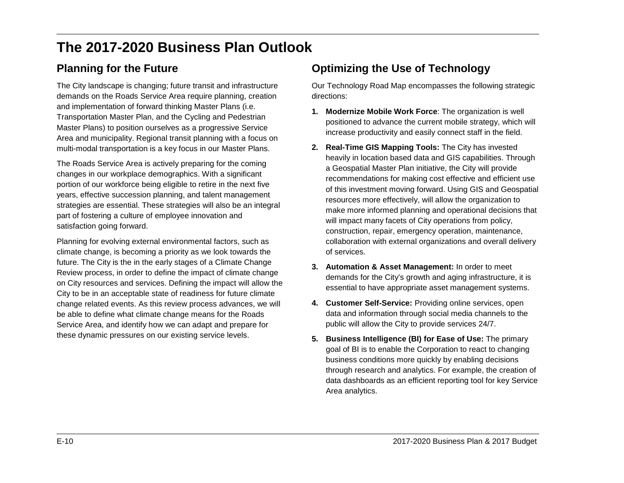# <span id="page-10-0"></span>**The 2017-2020 Business Plan Outlook**

# <span id="page-10-1"></span>**Planning for the Future**

The City landscape is changing; future transit and infrastructure demands on the Roads Service Area require planning, creation and implementation of forward thinking Master Plans (i.e. Transportation Master Plan, and the Cycling and Pedestrian Master Plans) to position ourselves as a progressive Service Area and municipality. Regional transit planning with a focus on multi-modal transportation is a key focus in our Master Plans.

The Roads Service Area is actively preparing for the coming changes in our workplace demographics. With a significant portion of our workforce being eligible to retire in the next five years, effective succession planning, and talent management strategies are essential. These strategies will also be an integral part of fostering a culture of employee innovation and satisfaction going forward.

Planning for evolving external environmental factors, such as climate change, is becoming a priority as we look towards the future. The City is the in the early stages of a Climate Change Review process, in order to define the impact of climate change on City resources and services. Defining the impact will allow the City to be in an acceptable state of readiness for future climate change related events. As this review process advances, we will be able to define what climate change means for the Roads Service Area, and identify how we can adapt and prepare for these dynamic pressures on our existing service levels.

# **Optimizing the Use of Technology**

Our Technology Road Map encompasses the following strategic directions:

- **1. Modernize Mobile Work Force**: The organization is well positioned to advance the current mobile strategy, which will increase productivity and easily connect staff in the field.
- **2. Real-Time GIS Mapping Tools:** The City has invested heavily in location based data and GIS capabilities. Through a Geospatial Master Plan initiative, the City will provide recommendations for making cost effective and efficient use of this investment moving forward. Using GIS and Geospatial resources more effectively, will allow the organization to make more informed planning and operational decisions that will impact many facets of City operations from policy, construction, repair, emergency operation, maintenance, collaboration with external organizations and overall delivery of services.
- **3. Automation & Asset Management:** In order to meet demands for the City's growth and aging infrastructure, it is essential to have appropriate asset management systems.
- **4. Customer Self-Service:** Providing online services, open data and information through social media channels to the public will allow the City to provide services 24/7.
- **5. Business Intelligence (BI) for Ease of Use:** The primary goal of BI is to enable the Corporation to react to changing business conditions more quickly by enabling decisions through research and analytics. For example, the creation of data dashboards as an efficient reporting tool for key Service Area analytics.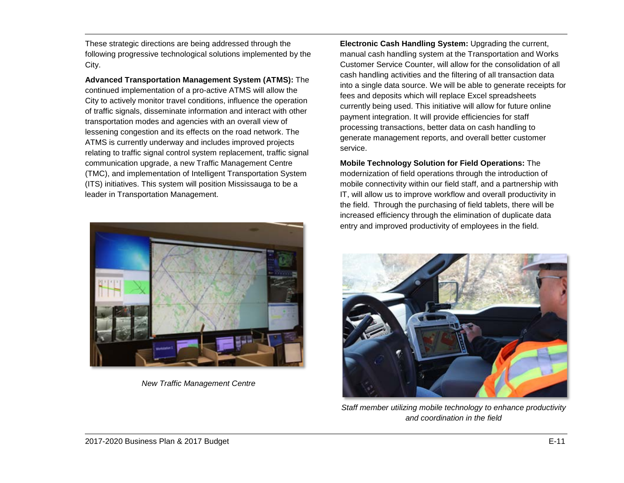These strategic directions are being addressed through the following progressive technological solutions implemented by the City.

**Advanced Transportation Management System (ATMS):** The continued implementation of a pro-active ATMS will allow the City to actively monitor travel conditions, influence the operation of traffic signals, disseminate information and interact with other transportation modes and agencies with an overall view of lessening congestion and its effects on the road network. The ATMS is currently underway and includes improved projects relating to traffic signal control system replacement, traffic signal communication upgrade, a new Traffic Management Centre (TMC), and implementation of Intelligent Transportation System (ITS) initiatives. This system will position Mississauga to be a leader in Transportation Management.



*New Traffic Management Centre*

**Electronic Cash Handling System:** Upgrading the current, manual cash handling system at the Transportation and Works Customer Service Counter, will allow for the consolidation of all cash handling activities and the filtering of all transaction data into a single data source. We will be able to generate receipts for fees and deposits which will replace Excel spreadsheets currently being used. This initiative will allow for future online payment integration. It will provide efficiencies for staff processing transactions, better data on cash handling to generate management reports, and overall better customer service.

**Mobile Technology Solution for Field Operations:** The modernization of field operations through the introduction of mobile connectivity within our field staff, and a partnership with IT, will allow us to improve workflow and overall productivity in the field. Through the purchasing of field tablets, there will be increased efficiency through the elimination of duplicate data entry and improved productivity of employees in the field.



*Staff member utilizing mobile technology to enhance productivity and coordination in the field*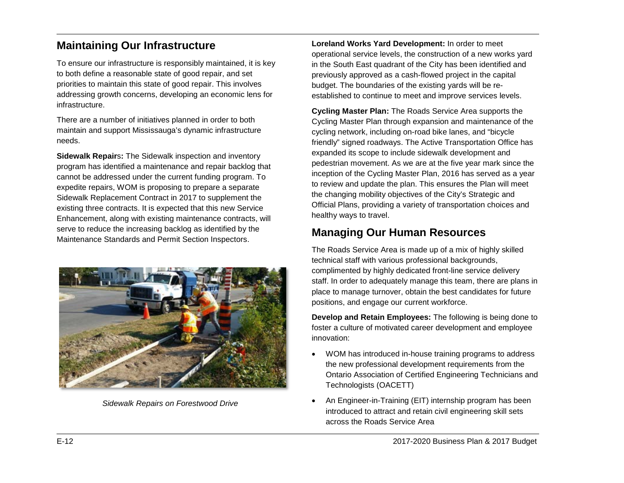# <span id="page-12-0"></span>**Maintaining Our Infrastructure**

To ensure our infrastructure is responsibly maintained, it is key to both define a reasonable state of good repair, and set priorities to maintain this state of good repair. This involves addressing growth concerns, developing an economic lens for infrastructure.

There are a number of initiatives planned in order to both maintain and support Mississauga's dynamic infrastructure needs.

**Sidewalk Repair**s**:** The Sidewalk inspection and inventory program has identified a maintenance and repair backlog that cannot be addressed under the current funding program. To expedite repairs, WOM is proposing to prepare a separate Sidewalk Replacement Contract in 2017 to supplement the existing three contracts. It is expected that this new Service Enhancement, along with existing maintenance contracts, will serve to reduce the increasing backlog as identified by the Maintenance Standards and Permit Section Inspectors.



*Sidewalk Repairs on Forestwood Drive*

**Loreland Works Yard Development:** In order to meet operational service levels, the construction of a new works yard in the South East quadrant of the City has been identified and previously approved as a cash-flowed project in the capital budget. The boundaries of the existing yards will be reestablished to continue to meet and improve services levels.

**Cycling Master Plan:** The Roads Service Area supports the Cycling Master Plan through expansion and maintenance of the cycling network, including on-road bike lanes, and "bicycle friendly" signed roadways. The Active Transportation Office has expanded its scope to include sidewalk development and pedestrian movement. As we are at the five year mark since the inception of the Cycling Master Plan, 2016 has served as a year to review and update the plan. This ensures the Plan will meet the changing mobility objectives of the City's Strategic and Official Plans, providing a variety of transportation choices and healthy ways to travel.

# <span id="page-12-1"></span>**Managing Our Human Resources**

The Roads Service Area is made up of a mix of highly skilled technical staff with various professional backgrounds, complimented by highly dedicated front-line service delivery staff. In order to adequately manage this team, there are plans in place to manage turnover, obtain the best candidates for future positions, and engage our current workforce.

**Develop and Retain Employees:** The following is being done to foster a culture of motivated career development and employee innovation:

- WOM has introduced in-house training programs to address the new professional development requirements from the Ontario Association of Certified Engineering Technicians and Technologists (OACETT)
- An Engineer-in-Training (EIT) internship program has been introduced to attract and retain civil engineering skill sets across the Roads Service Area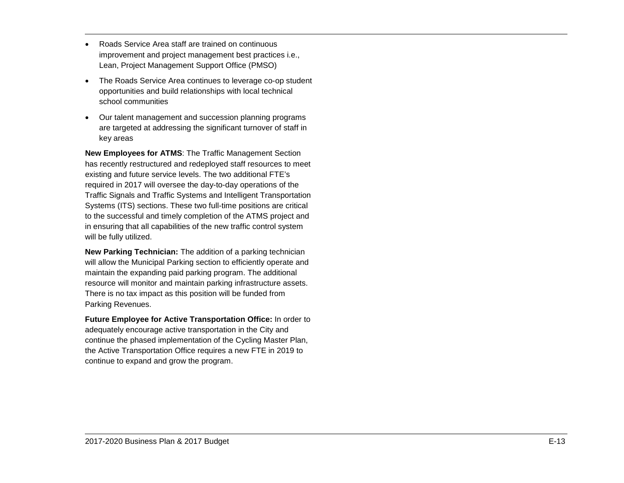- Roads Service Area staff are trained on continuous improvement and project management best practices i.e., Lean, Project Management Support Office (PMSO)
- The Roads Service Area continues to leverage co -op student opportunities and build relationships with local technical school communities
- Our talent management and succession planning programs are targeted at addressing the significant turnover of staff in key areas

**New Employees for ATMS** : The Traffic Management Section has recently restructured and redeployed staff resources to meet existing and future service levels. The two additional FTE's required in 2017 will oversee the day -to -day operations of the Traffic Signals and Traffic Systems and Intelligent Transportation Systems (ITS ) sections. These two full -time positions are critical to the successful and timely completion of the ATMS project and in ensuring that all capabilities of the new traffic control system will be fully utilized .

**New Parking Technician :** The addition of a parking technician will allow the Municipal Parking section to efficiently operate and maintain the expanding paid parking program. The additional resource will monitor and maintain parking infrastructure assets. There is no tax impact as this position will be funded from Parking Revenues.

**Future Employee for Active Transportation Office :** In order to adequately encourage active transportation in the City and continue the phased implementation of the Cycling Master Plan, the Active Transportation Office requires a new FTE in 2019 to continue to expand and grow the program.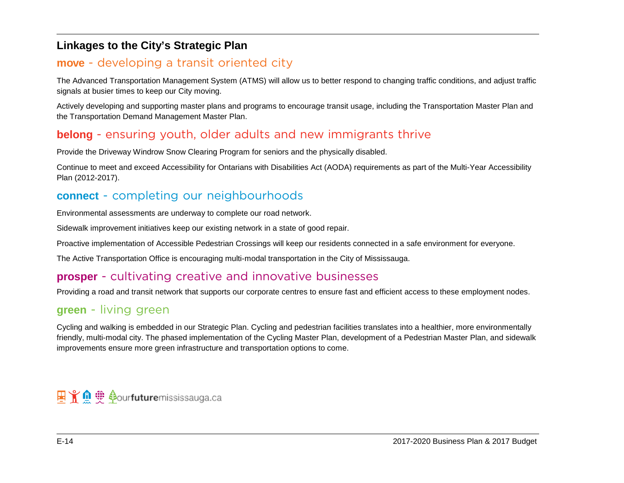# <span id="page-14-0"></span>**Linkages to the City's Strategic Plan**

# **move** - developing a transit oriented city

The Advanced Transportation Management System (ATMS) will allow us to better respond to changing traffic conditions, and adjust traffic signals at busier times to keep our City moving.

Actively developing and supporting master plans and programs to encourage transit usage, including the Transportation Master Plan and the Transportation Demand Management Master Plan.

# **belong** - ensuring youth, older adults and new immigrants thrive

Provide the Driveway Windrow Snow Clearing Program for seniors and the physically disabled.

Continue to meet and exceed Accessibility for Ontarians with Disabilities Act (AODA) requirements as part of the Multi-Year Accessibility Plan (2012-2017).

# **connect** - completing our neighbourhoods

Environmental assessments are underway to complete our road network.

Sidewalk improvement initiatives keep our existing network in a state of good repair.

Proactive implementation of Accessible Pedestrian Crossings will keep our residents connected in a safe environment for everyone.

The Active Transportation Office is encouraging multi-modal transportation in the City of Mississauga.

# **prosper** - cultivating creative and innovative businesses

Providing a road and transit network that supports our corporate centres to ensure fast and efficient access to these employment nodes.

## **green** - living green

Cycling and walking is embedded in our Strategic Plan. Cycling and pedestrian facilities translates into a healthier, more environmentally friendly, multi-modal city. The phased implementation of the Cycling Master Plan, development of a Pedestrian Master Plan, and sidewalk improvements ensure more green infrastructure and transportation options to come.

# 里 Y Q v Aourfuturemississauga.ca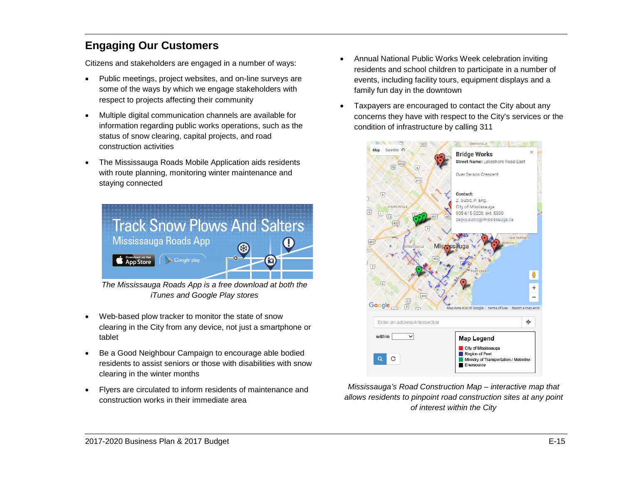# <span id="page-15-0"></span>**Engaging Our Customers**

Citizens and stakeholders are engaged in a number of ways:

- Public meetings, project websites, and on-line surveys are some of the ways by which we engage stakeholders with respect to projects affecting their community
- Multiple digital communication channels are available for information regarding public works operations, such as the status of snow clearing, capital projects, and road construction activities
- The Mississauga Roads Mobile Application aids residents with route planning, monitoring winter maintenance and staying connected



*The Mississauga Roads App is a free download at both the iTunes and Google Play stores*

- Web-based plow tracker to monitor the state of snow clearing in the City from any device, not just a smartphone or tablet
- Be a Good Neighbour Campaign to encourage able bodied residents to assist seniors or those with disabilities with snow clearing in the winter months
- Flyers are circulated to inform residents of maintenance and construction works in their immediate area
- Annual National Public Works Week celebration inviting residents and school children to participate in a number of events, including facility tours, equipment displays and a family fun day in the downtown
- Taxpayers are encouraged to contact the City about any concerns they have with respect to the City's services or the condition of infrastructure by calling 311



*Mississauga's Road Construction Map – interactive map that allows residents to pinpoint road construction sites at any point of interest within the City*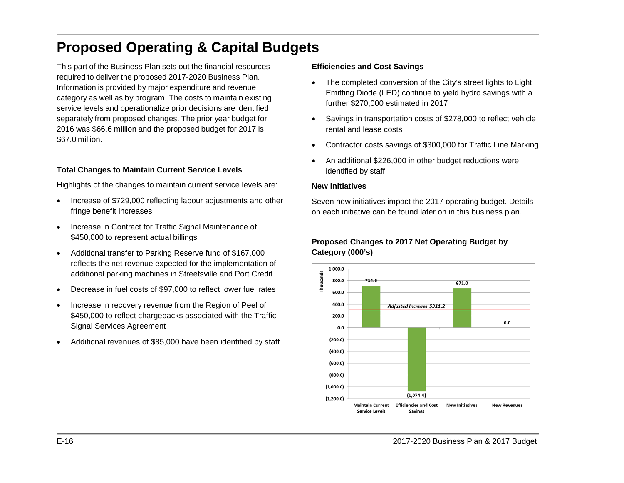# <span id="page-16-0"></span>**Proposed Operating & Capital Budgets**

This part of the Business Plan sets out the financial resources required to deliver the proposed 2017-2020 Business Plan. Information is provided by major expenditure and revenue category as well as by program. The costs to maintain existing service levels and operationalize prior decisions are identified separately from proposed changes. The prior year budget for 2016 was \$66.6 million and the proposed budget for 2017 is \$67.0 million.

### **Total Changes to Maintain Current Service Levels**

Highlights of the changes to maintain current service levels are:

- Increase of \$729,000 reflecting labour adjustments and other fringe benefit increases
- Increase in Contract for Traffic Signal Maintenance of \$450,000 to represent actual billings
- Additional transfer to Parking Reserve fund of \$167,000 reflects the net revenue expected for the implementation of additional parking machines in Streetsville and Port Credit
- Decrease in fuel costs of \$97,000 to reflect lower fuel rates
- Increase in recovery revenue from the Region of Peel of \$450,000 to reflect chargebacks associated with the Traffic Signal Services Agreement
- Additional revenues of \$85,000 have been identified by staff

#### **Efficiencies and Cost Savings**

- The completed conversion of the City's street lights to Light Emitting Diode (LED) continue to yield hydro savings with a further \$270,000 estimated in 2017
- Savings in transportation costs of \$278,000 to reflect vehicle rental and lease costs
- Contractor costs savings of \$300,000 for Traffic Line Marking
- An additional \$226,000 in other budget reductions were identified by staff

#### **New Initiatives**

Seven new initiatives impact the 2017 operating budget. Details on each initiative can be found later on in this business plan.

### **Proposed Changes to 2017 Net Operating Budget by Category (000's)**

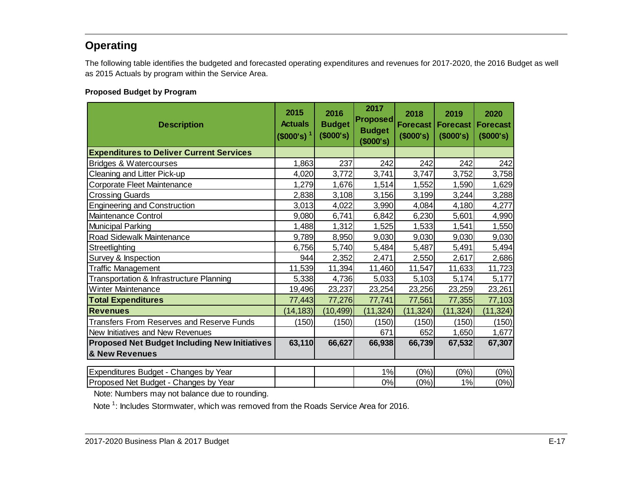# <span id="page-17-0"></span>**Operating**

The following table identifies the budgeted and forecasted operating expenditures and revenues for 2017-2020, the 2016 Budget as well as 2015 Actuals by program within the Service Area.

### <span id="page-17-1"></span>**Proposed Budget by Program**

| <b>Description</b>                                   | 2015<br><b>Actuals</b><br>(\$000's) <sup>1</sup> | 2016<br><b>Budget</b><br>(\$000's) | 2017<br><b>Proposed</b><br><b>Budget</b><br>\$000's) | 2018<br><b>Forecast</b><br>(\$000's) | 2019<br><b>Forecast</b><br>(\$000's) | 2020<br><b>Forecast</b><br>(\$000's) |
|------------------------------------------------------|--------------------------------------------------|------------------------------------|------------------------------------------------------|--------------------------------------|--------------------------------------|--------------------------------------|
| <b>Expenditures to Deliver Current Services</b>      |                                                  |                                    |                                                      |                                      |                                      |                                      |
| Bridges & Watercourses                               | 1,863                                            | 237                                | 242                                                  | 242                                  | 242                                  | 242                                  |
| Cleaning and Litter Pick-up                          | 4,020                                            | 3,772                              | 3,741                                                | 3,747                                | 3,752                                | 3,758                                |
| Corporate Fleet Maintenance                          | 1,279                                            | 1,676                              | 1,514                                                | 1,552                                | 1,590                                | 1,629                                |
| <b>Crossing Guards</b>                               | 2,838                                            | 3,108                              | 3,156                                                | 3,199                                | 3,244                                | 3,288                                |
| <b>Engineering and Construction</b>                  | 3,013                                            | 4,022                              | 3,990                                                | 4,084                                | 4,180                                | 4,277                                |
| Maintenance Control                                  | 9,080                                            | 6,741                              | 6,842                                                | 6,230                                | 5,601                                | 4,990                                |
| <b>Municipal Parking</b>                             | 1,488                                            | 1,312                              | 1,525                                                | 1,533                                | 1,541                                | 1,550                                |
| Road Sidewalk Maintenance                            | 9,789                                            | 8,950                              | 9,030                                                | 9,030                                | 9,030                                | 9,030                                |
| Streetlighting                                       | 6,756                                            | 5,740                              | 5,484                                                | 5,487                                | 5,491                                | 5,494                                |
| Survey & Inspection                                  | 944                                              | 2,352                              | 2,471                                                | 2,550                                | 2,617                                | 2,686                                |
| <b>Traffic Management</b>                            | 11,539                                           | 11,394                             | 11,460                                               | 11,547                               | 11,633                               | 11,723                               |
| Transportation & Infrastructure Planning             | 5,338                                            | 4,736                              | 5,033                                                | 5,103                                | 5,174                                | 5,177                                |
| Winter Maintenance                                   | 19,496                                           | 23,237                             | 23,254                                               | 23,256                               | 23,259                               | 23,261                               |
| <b>Total Expenditures</b>                            | 77,443                                           | 77,276                             | 77,741                                               | 77,561                               | 77,355                               | 77,103                               |
| <b>Revenues</b>                                      | (14, 183)                                        | (10, 499)                          | (11, 324)                                            | (11, 324)                            | (11, 324)                            | (11, 324)                            |
| Transfers From Reserves and Reserve Funds            | (150)                                            | (150)                              | (150)                                                | (150)                                | (150)                                | (150)                                |
| New Initiatives and New Revenues                     |                                                  |                                    | 671                                                  | 652                                  | 1,650                                | 1,677                                |
| <b>Proposed Net Budget Including New Initiatives</b> | 63,110                                           | 66,627                             | 66,938                                               | 66,739                               | 67,532                               | 67,307                               |
| & New Revenues                                       |                                                  |                                    |                                                      |                                      |                                      |                                      |
|                                                      |                                                  |                                    | 1%                                                   |                                      |                                      |                                      |
| Expenditures Budget - Changes by Year                |                                                  |                                    |                                                      | (0%)                                 | (0%)                                 | (0%)                                 |
| Proposed Net Budget - Changes by Year                |                                                  |                                    | 0%                                                   | (0%)                                 | 1%                                   | (0%)                                 |

Note: Numbers may not balance due to rounding.

Note<sup>1</sup>: Includes Stormwater, which was removed from the Roads Service Area for 2016.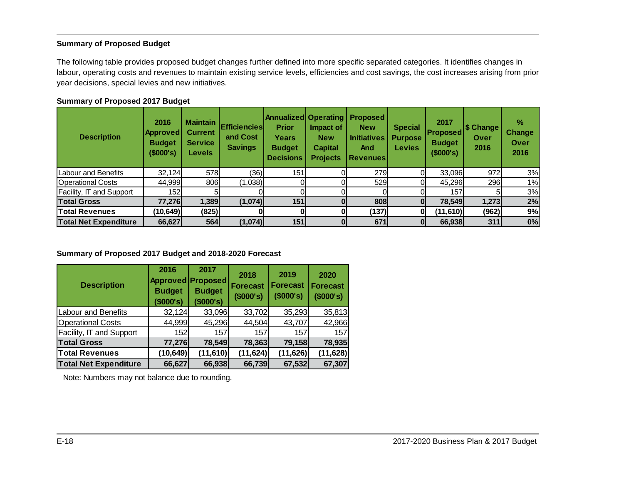#### <span id="page-18-0"></span>**Summary of Proposed Budget**

The following table provides proposed budget changes further defined into more specific separated categories. It identifies changes in labour, operating costs and revenues to maintain existing service levels, efficiencies and cost savings, the cost increases arising from prior year decisions, special levies and new initiatives.

#### **Summary of Proposed 2017 Budget**

| <b>Description</b>              | 2016<br> Approved <br><b>Budget</b><br>(\$000's) | <b>Maintain</b><br><b>Current</b><br><b>Service</b><br><b>Levels</b> | <b>Efficiencies</b><br>and Cost<br><b>Savings</b> | <b>Annualized Operating</b><br><b>Prior</b><br>Years<br><b>Budget</b><br><b>Decisions</b> | Impact of<br><b>New</b><br><b>Capital</b><br><b>Projects</b> | <b>Proposed</b><br><b>New</b><br><b>Initiatives</b><br>And<br><b>Revenues</b> | <b>Special</b><br><b>Purpose</b><br><b>Levies</b> | 2017<br><b>Proposed</b><br><b>Budget</b><br>(\$000's) | S Change<br>Over<br>2016 | %<br><b>Change</b><br>Over<br>2016 |
|---------------------------------|--------------------------------------------------|----------------------------------------------------------------------|---------------------------------------------------|-------------------------------------------------------------------------------------------|--------------------------------------------------------------|-------------------------------------------------------------------------------|---------------------------------------------------|-------------------------------------------------------|--------------------------|------------------------------------|
| Labour and Benefits             | 32,124                                           | 578                                                                  | (36)                                              | 151                                                                                       |                                                              | 279                                                                           |                                                   | 33,096                                                | 972                      | 3%                                 |
| <b>Operational Costs</b>        | 44,999                                           | 806                                                                  | (1,038)                                           |                                                                                           |                                                              | 529                                                                           |                                                   | 45,296                                                | 296                      | 1%                                 |
| <b>Facility, IT and Support</b> | 152                                              |                                                                      |                                                   |                                                                                           |                                                              |                                                                               |                                                   | 157                                                   |                          | 3%                                 |
| <b>Total Gross</b>              | 77,276                                           | 1,389                                                                | (1,074)                                           | 151                                                                                       |                                                              | 808                                                                           | O                                                 | 78,549                                                | 1,273                    | 2%                                 |
| <b>Total Revenues</b>           | (10, 649)                                        | (825)                                                                |                                                   |                                                                                           |                                                              | (137)                                                                         |                                                   | (11,610)                                              | (962)                    | 9%                                 |
| <b>Total Net Expenditure</b>    | 66,627                                           | 564                                                                  | (1,074)                                           | 151                                                                                       |                                                              | 671                                                                           | 0                                                 | 66,938                                                | 311                      | $0\%$                              |

#### **Summary of Proposed 2017 Budget and 2018-2020 Forecast**

| <b>Description</b>           | 2016<br><b>Budget</b><br>(\$000's) | 2017<br>Approved Proposed<br><b>Budget</b><br>(\$000's) | 2018<br><b>Forecast</b><br>(\$000's) | 2019<br><b>Forecast</b><br>(\$000's) | 2020<br><b>Forecast</b><br>(\$000's) |
|------------------------------|------------------------------------|---------------------------------------------------------|--------------------------------------|--------------------------------------|--------------------------------------|
| <b>Labour and Benefits</b>   | 32,124                             | 33,096                                                  | 33,702                               | 35,293                               | 35,813                               |
| <b>Operational Costs</b>     | 44,999                             | 45,296                                                  | 44,504                               | 43,707                               | 42,966                               |
| Facility, IT and Support     | 152                                | 157                                                     | 157                                  | 157                                  | 157                                  |
| <b>Total Gross</b>           | 77,276                             | 78,549                                                  | 78,363                               | 79,158                               | 78,935                               |
| <b>Total Revenues</b>        | (10, 649)                          | (11, 610)                                               | (11, 624)                            | (11, 626)                            | (11, 628)                            |
| <b>Total Net Expenditure</b> | 66,627                             | 66,938                                                  | 66,739                               | 67,532                               | 67,307                               |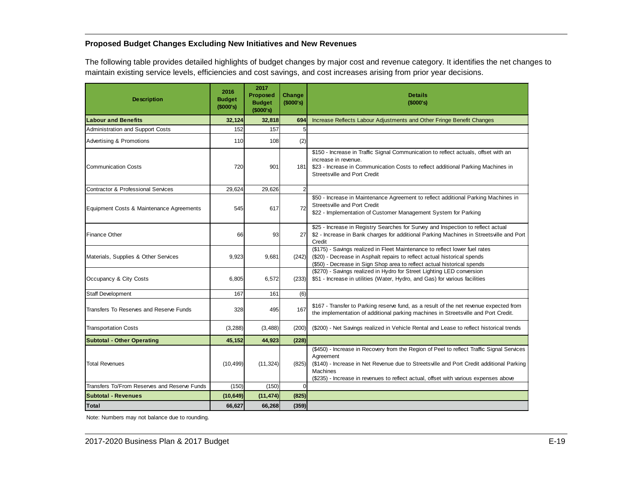### <span id="page-19-0"></span>**Proposed Budget Changes Excluding New Initiatives and New Revenues**

The following table provides detailed highlights of budget changes by major cost and revenue category. It identifies the net changes to maintain existing service levels, efficiencies and cost savings, and cost increases arising from prior year decisions.

| <b>Description</b>                            | 2016<br><b>Budget</b><br>(\$000's) | 2017<br>Proposed<br><b>Budget</b><br>(\$000's) | Change<br>(\$000's) | <b>Details</b><br>(\$000's)                                                                                                                                                                                                                                                                                   |
|-----------------------------------------------|------------------------------------|------------------------------------------------|---------------------|---------------------------------------------------------------------------------------------------------------------------------------------------------------------------------------------------------------------------------------------------------------------------------------------------------------|
| <b>Labour and Benefits</b>                    | 32.124                             | 32,818                                         | 694                 | Increase Reflects Labour Adjustments and Other Fringe Benefit Changes                                                                                                                                                                                                                                         |
| <b>Administration and Support Costs</b>       | 152                                | 157                                            | 5                   |                                                                                                                                                                                                                                                                                                               |
| <b>Advertising &amp; Promotions</b>           | 110                                | 108                                            | (2)                 |                                                                                                                                                                                                                                                                                                               |
| <b>Communication Costs</b>                    | 720                                | 901                                            | 181 <sup>I</sup>    | \$150 - Increase in Traffic Signal Communication to reflect actuals, offset with an<br>increase in revenue.<br>\$23 - Increase in Communication Costs to reflect additional Parking Machines in<br>Streets ville and Port Credit                                                                              |
| <b>Contractor &amp; Professional Services</b> | 29,624                             | 29,626                                         | $\overline{2}$      |                                                                                                                                                                                                                                                                                                               |
| Equipment Costs & Maintenance Agreements      | 545                                | 617                                            | 72                  | \$50 - Increase in Maintenance Agreement to reflect additional Parking Machines in<br>Streetsville and Port Credit<br>\$22 - Implementation of Customer Management System for Parking                                                                                                                         |
| <b>Finance Other</b>                          | 66                                 | 93                                             | 27                  | \$25 - Increase in Registry Searches for Survey and Inspection to reflect actual<br>\$2 - Increase in Bank charges for additional Parking Machines in Streetsville and Port<br>Credit                                                                                                                         |
| Materials, Supplies & Other Services          | 9,923                              | 9,681                                          | (242)               | (\$175) - Savings realized in Fleet Maintenance to reflect lower fuel rates<br>(\$20) - Decrease in Asphalt repairs to reflect actual historical spends<br>(\$50) - Decrease in Sign Shop area to reflect actual historical spends                                                                            |
| Occupancy & City Costs                        | 6,805                              | 6,572                                          | (233)               | (\$270) - Savings realized in Hydro for Street Lighting LED conversion<br>\$51 - Increase in utilities (Water, Hydro, and Gas) for various facilities                                                                                                                                                         |
| <b>Staff Development</b>                      | 167                                | 161                                            | (6)                 |                                                                                                                                                                                                                                                                                                               |
| Transfers To Reserves and Reserve Funds       | 328                                | 495                                            | 167                 | \$167 - Transfer to Parking reserve fund, as a result of the net revenue expected from<br>the implementation of additional parking machines in Streetsville and Port Credit.                                                                                                                                  |
| <b>Transportation Costs</b>                   | (3, 288)                           | (3, 488)                                       | (200)               | (\$200) - Net Savings realized in Vehicle Rental and Lease to reflect historical trends                                                                                                                                                                                                                       |
| <b>Subtotal - Other Operating</b>             | 45,152                             | 44,923                                         | (228)               |                                                                                                                                                                                                                                                                                                               |
| <b>Total Revenues</b>                         | (10, 499)                          | (11, 324)                                      | (825)               | (\$450) - Increase in Recovery from the Region of Peel to reflect Traffic Signal Services<br>Agreement<br>(\$140) - Increase in Net Revenue due to Streetsville and Port Credit additional Parking<br><b>Machines</b><br>(\$235) - Increase in revenues to reflect actual, offset with various expenses above |
| Transfers To/From Reserves and Reserve Funds  | (150)                              | (150)                                          | $\Omega$            |                                                                                                                                                                                                                                                                                                               |
| Subtotal - Revenues                           | (10, 649)                          | (11, 474)                                      | (825)               |                                                                                                                                                                                                                                                                                                               |
| Total                                         | 66,627                             | 66,268                                         | (359)               |                                                                                                                                                                                                                                                                                                               |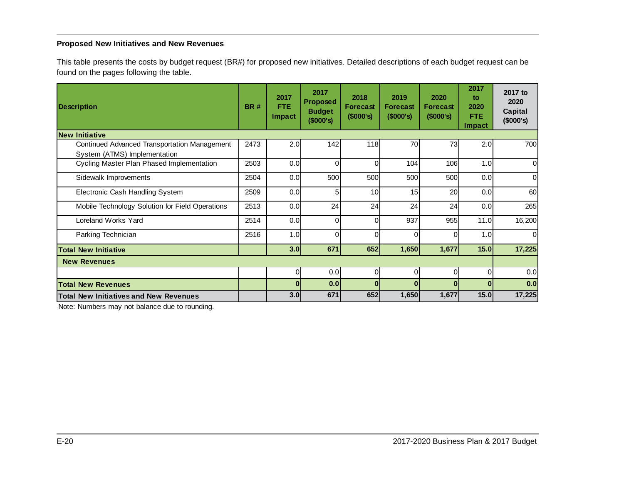### <span id="page-20-0"></span>**Proposed New Initiatives and New Revenues**

This table presents the costs by budget request (BR#) for proposed new initiatives. Detailed descriptions of each budget request can be found on the pages following the table.

| <b>Description</b>                              | <b>BR#</b> | 2017<br><b>FTE</b><br>Impact | 2017<br><b>Proposed</b><br><b>Budget</b><br>(\$000's) | 2018<br><b>Forecast</b><br>$($ \$000's) | 2019<br>Forecast<br>(\$000's) | 2020<br><b>Forecast</b><br>(\$000's) | 2017<br>to.<br>2020<br>FTE.<br>Impact | 2017 to<br>2020<br>Capital<br>(\$000's) |
|-------------------------------------------------|------------|------------------------------|-------------------------------------------------------|-----------------------------------------|-------------------------------|--------------------------------------|---------------------------------------|-----------------------------------------|
| <b>New Initiative</b>                           |            |                              |                                                       |                                         |                               |                                      |                                       |                                         |
| Continued Advanced Transportation Management    | 2473       | 2.0                          | 142                                                   | 118                                     | 70                            | 73                                   | 2.0                                   | 700                                     |
| System (ATMS) Implementation                    |            |                              |                                                       |                                         |                               |                                      |                                       |                                         |
| Cycling Master Plan Phased Implementation       | 2503       | 0.0                          | $\Omega$                                              | $\Omega$                                | 104                           | 106                                  | 1.0                                   | $\Omega$                                |
| Sidewalk Improvements                           | 2504       | 0.0                          | 500                                                   | 500                                     | 500                           | 500                                  | 0.0                                   | $\Omega$                                |
| Electronic Cash Handling System                 | 2509       | 0.0                          | 5                                                     | 10                                      | 15                            | 20                                   | 0.0                                   | 60                                      |
| Mobile Technology Solution for Field Operations | 2513       | 0.0                          | 24                                                    | 24                                      | 24                            | 24                                   | 0.0                                   | 265                                     |
| Loreland Works Yard                             | 2514       | 0.0                          | $\Omega$                                              | $\Omega$                                | 937                           | 955                                  | 11.0                                  | 16,200                                  |
| Parking Technician                              | 2516       | 1.0                          | $\Omega$                                              | $\Omega$                                | $\Omega$                      | $\Omega$                             | 1.0                                   | $\Omega$                                |
| <b>Total New Initiative</b>                     |            | 3.0                          | 671                                                   | 652                                     | 1,650                         | 1,677                                | 15.0                                  | 17,225                                  |
| <b>New Revenues</b>                             |            |                              |                                                       |                                         |                               |                                      |                                       |                                         |
|                                                 |            | $\Omega$                     | 0.0                                                   | $\Omega$                                | $\Omega$                      | $\Omega$                             | $\Omega$                              | 0.0                                     |
| <b>Total New Revenues</b>                       |            | 0                            | 0.0                                                   | $\Omega$                                |                               | $\Omega$                             | O                                     | 0.0                                     |
| <b>Total New Initiatives and New Revenues</b>   |            | 3.0                          | 671                                                   | 652                                     | 1,650                         | 1,677                                | 15.0                                  | 17,225                                  |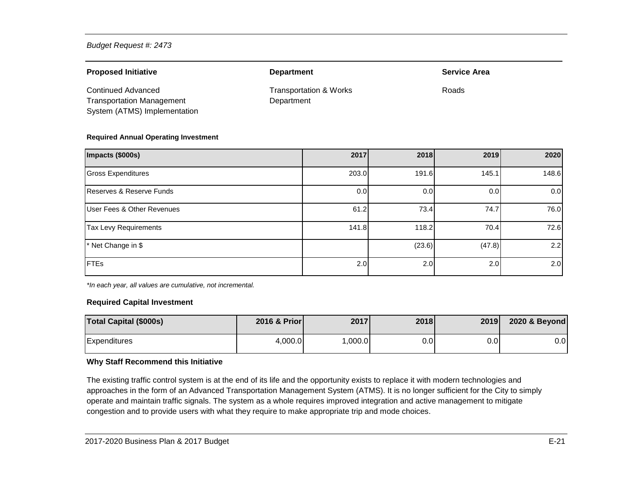| <b>Proposed Initiative</b>       | <b>Department</b>                 | <b>Service Area</b> |
|----------------------------------|-----------------------------------|---------------------|
| Continued Advanced               | <b>Transportation &amp; Works</b> | Roads               |
| <b>Transportation Management</b> | Department                        |                     |
| System (ATMS) Implementation     |                                   |                     |

#### **Required Annual Operating Investment**

| Impacts (\$000s)                      | 2017  | 2018   | 2019   | 2020  |
|---------------------------------------|-------|--------|--------|-------|
| <b>Gross Expenditures</b>             | 203.0 | 191.6  | 145.1  | 148.6 |
| Reserves & Reserve Funds              | 0.0   | 0.0    | 0.0    | 0.0   |
| <b>User Fees &amp; Other Revenues</b> | 61.2  | 73.4   | 74.7   | 76.0  |
| <b>Tax Levy Requirements</b>          | 141.8 | 118.2  | 70.4   | 72.6  |
| * Net Change in \$                    |       | (23.6) | (47.8) | 2.2   |
| <b>FTEs</b>                           | 2.0   | 2.0    | 2.0    | 2.0   |

*\*In each year, all values are cumulative, not incremental.*

#### **Required Capital Investment**

| <b>Total Capital (\$000s)</b> | 2016 & Prior | 2017    | 2018 | 2019 | 2020 & Beyond |
|-------------------------------|--------------|---------|------|------|---------------|
| Expenditures                  | 4,000.0      | 0.000.0 | 0.0  | 0.0  | 0.0           |

#### **Why Staff Recommend this Initiative**

The existing traffic control system is at the end of its life and the opportunity exists to replace it with modern technologies and approaches in the form of an Advanced Transportation Management System (ATMS). It is no longer sufficient for the City to simply operate and maintain traffic signals. The system as a whole requires improved integration and active management to mitigate congestion and to provide users with what they require to make appropriate trip and mode choices.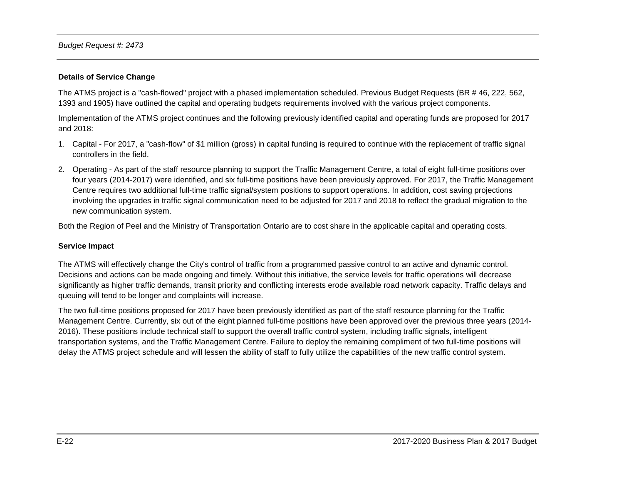#### **Details of Service Change**

The ATMS project is a "cash-flowed" project with a phased implementation scheduled. Previous Budget Requests (BR # 46, 222, 562, 1393 and 1905) have outlined the capital and operating budgets requirements involved with the various project components.

Implementation of the ATMS project continues and the following previously identified capital and operating funds are proposed for 2017 and 2018:

- 1. Capital For 2017, a "cash-flow" of \$1 million (gross) in capital funding is required to continue with the replacement of traffic signal controllers in the field.
- 2. Operating As part of the staff resource planning to support the Traffic Management Centre, a total of eight full-time positions over four years (2014-2017) were identified, and six full-time positions have been previously approved. For 2017, the Traffic Management Centre requires two additional full-time traffic signal/system positions to support operations. In addition, cost saving projections involving the upgrades in traffic signal communication need to be adjusted for 2017 and 2018 to reflect the gradual migration to the new communication system.

Both the Region of Peel and the Ministry of Transportation Ontario are to cost share in the applicable capital and operating costs.

#### **Service Impact**

The ATMS will effectively change the City's control of traffic from a programmed passive control to an active and dynamic control. Decisions and actions can be made ongoing and timely. Without this initiative, the service levels for traffic operations will decrease significantly as higher traffic demands, transit priority and conflicting interests erode available road network capacity. Traffic delays and queuing will tend to be longer and complaints will increase.

The two full-time positions proposed for 2017 have been previously identified as part of the staff resource planning for the Traffic Management Centre. Currently, six out of the eight planned full-time positions have been approved over the previous three years (2014- 2016). These positions include technical staff to support the overall traffic control system, including traffic signals, intelligent transportation systems, and the Traffic Management Centre. Failure to deploy the remaining compliment of two full-time positions will delay the ATMS project schedule and will lessen the ability of staff to fully utilize the capabilities of the new traffic control system.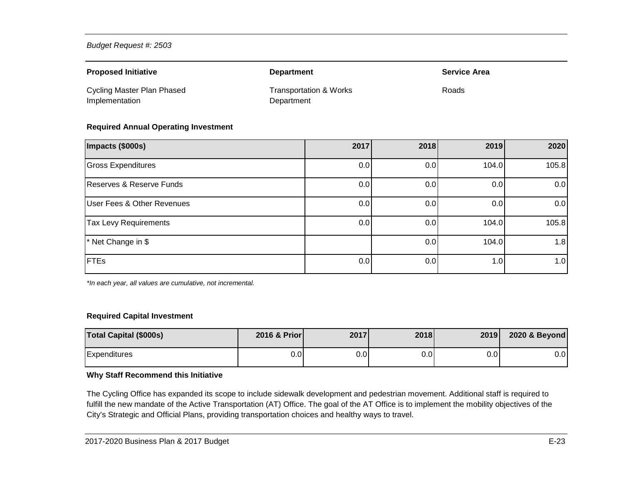| <b>Proposed Initiative</b>                   | <b>Department</b>                    | <b>Service Area</b> |
|----------------------------------------------|--------------------------------------|---------------------|
| Cycling Master Plan Phased<br>Implementation | Transportation & Works<br>Department | Roads               |

#### **Required Annual Operating Investment**

| Impacts (\$000s)                      | 2017 | 2018 | 2019  | 2020  |
|---------------------------------------|------|------|-------|-------|
| <b>Gross Expenditures</b>             | 0.0  | 0.0  | 104.0 | 105.8 |
| Reserves & Reserve Funds              | 0.0  | 0.0  | 0.0   | 0.0   |
| <b>User Fees &amp; Other Revenues</b> | 0.0  | 0.0  | 0.0   | 0.0   |
| <b>Tax Levy Requirements</b>          | 0.0  | 0.0  | 104.0 | 105.8 |
| * Net Change in \$                    |      | 0.0  | 104.0 | 1.8   |
| <b>FTEs</b>                           | 0.0  | 0.0  | 1.0   | 1.0   |

*\*In each year, all values are cumulative, not incremental.*

#### **Required Capital Investment**

| <b>Total Capital (\$000s)</b> | 2016 & Prior | 2017             | 2018 | 2019 | 2020 & Beyond |
|-------------------------------|--------------|------------------|------|------|---------------|
| Expenditures                  | 0.0          | 0.0 <sub>l</sub> | 0.0  | 0.OI | $0.0\,$       |

#### **Why Staff Recommend this Initiative**

The Cycling Office has expanded its scope to include sidewalk development and pedestrian movement. Additional staff is required to fulfill the new mandate of the Active Transportation (AT) Office. The goal of the AT Office is to implement the mobility objectives of the City's Strategic and Official Plans, providing transportation choices and healthy ways to travel.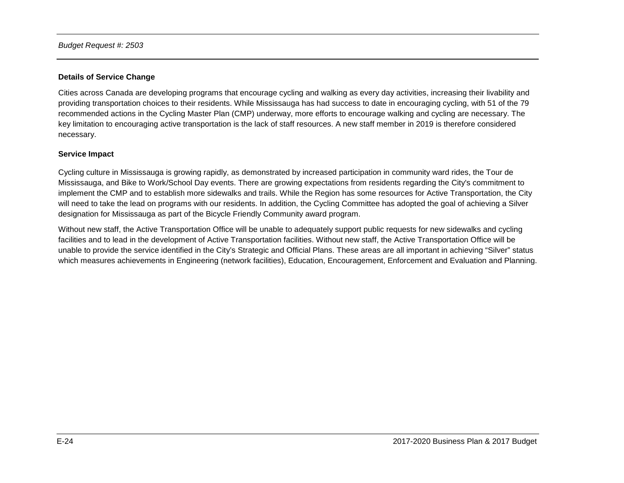#### **Details of Service Change**

Cities across Canada are developing programs that encourage cycling and walking as every day activities, increasing their livability and providing transportation choices to their residents. While Mississauga has had success to date in encouraging cycling, with 51 of the 79 recommended actions in the Cycling Master Plan (CMP) underway, more efforts to encourage walking and cycling are necessary. The key limitation to encouraging active transportation is the lack of staff resources. A new staff member in 2019 is therefore considered necessary.

#### **Service Impact**

Cycling culture in Mississauga is growing rapidly, as demonstrated by increased participation in community ward rides, the Tour de Mississauga, and Bike to Work/School Day events. There are growing expectations from residents regarding the City's commitment to implement the CMP and to establish more sidewalks and trails. While the Region has some resources for Active Transportation, the City will need to take the lead on programs with our residents. In addition, the Cycling Committee has adopted the goal of achieving a Silver designation for Mississauga as part of the Bicycle Friendly Community award program.

Without new staff, the Active Transportation Office will be unable to adequately support public requests for new sidewalks and cycling facilities and to lead in the development of Active Transportation facilities. Without new staff, the Active Transportation Office will be unable to provide the service identified in the City's Strategic and Official Plans. These areas are all important in achieving "Silver" status which measures achievements in Engineering (network facilities), Education, Encouragement, Enforcement and Evaluation and Planning.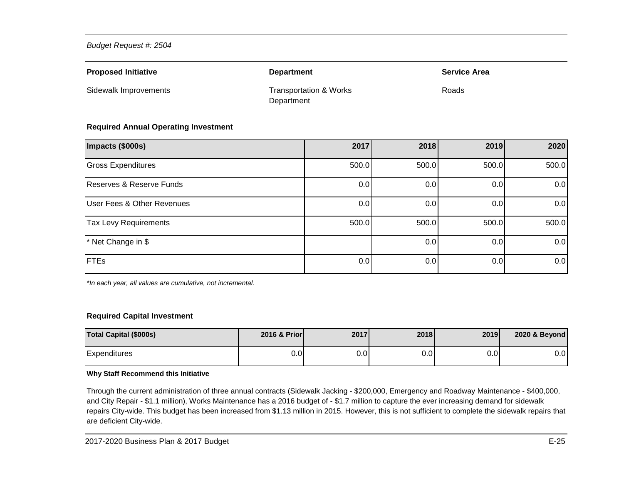| <b>Proposed Initiative</b> | <b>Department</b>                               | <b>Service Area</b> |
|----------------------------|-------------------------------------------------|---------------------|
| Sidewalk Improvements      | <b>Transportation &amp; Works</b><br>Department | Roads               |

#### **Required Annual Operating Investment**

| Impacts (\$000s)                      | 2017  | 2018  | 2019  | 2020  |
|---------------------------------------|-------|-------|-------|-------|
| <b>Gross Expenditures</b>             | 500.0 | 500.0 | 500.0 | 500.0 |
| Reserves & Reserve Funds              | 0.0   | 0.0   | 0.0   | 0.0   |
| <b>User Fees &amp; Other Revenues</b> | 0.0   | 0.0   | 0.0   | 0.0   |
| <b>Tax Levy Requirements</b>          | 500.0 | 500.0 | 500.0 | 500.0 |
| * Net Change in \$                    |       | 0.0   | 0.0   | 0.0   |
| <b>FTEs</b>                           | 0.0   | 0.0   | 0.0   | 0.0   |

*\*In each year, all values are cumulative, not incremental.*

#### **Required Capital Investment**

| <b>Total Capital (\$000s)</b> | 2016 & Prior | 2017 | <b>2018</b> | 2019 | 2020 & Beyond |
|-------------------------------|--------------|------|-------------|------|---------------|
| Expenditures                  | 0.0          | 0.01 | 0.01        | 0.01 | $0.0\,$       |

#### **Why Staff Recommend this Initiative**

Through the current administration of three annual contracts (Sidewalk Jacking - \$200,000, Emergency and Roadway Maintenance - \$400,000, and City Repair - \$1.1 million), Works Maintenance has a 2016 budget of - \$1.7 million to capture the ever increasing demand for sidewalk repairs City-wide. This budget has been increased from \$1.13 million in 2015. However, this is not sufficient to complete the sidewalk repairs that are deficient City-wide.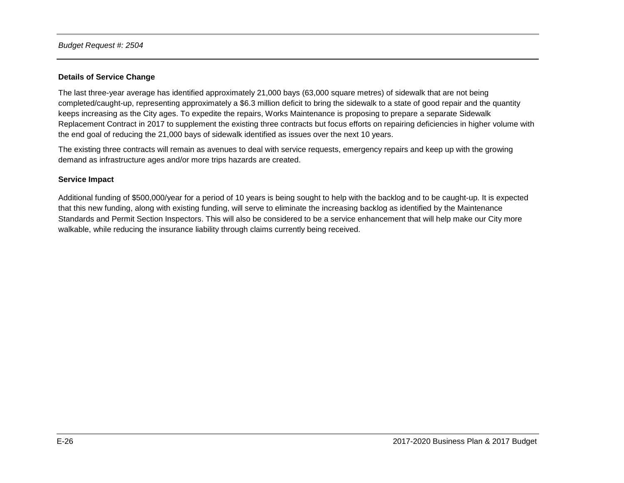#### **Details of Service Change**

The last three-year average has identified approximately 21,000 bays (63,000 square metres) of sidewalk that are not being completed/caught-up, representing approximately a \$6.3 million deficit to bring the sidewalk to a state of good repair and the quantity keeps increasing as the City ages. To expedite the repairs, Works Maintenance is proposing to prepare a separate Sidewalk Replacement Contract in 2017 to supplement the existing three contracts but focus efforts on repairing deficiencies in higher volume with the end goal of reducing the 21,000 bays of sidewalk identified as issues over the next 10 years.

The existing three contracts will remain as avenues to deal with service requests, emergency repairs and keep up with the growing demand as infrastructure ages and/or more trips hazards are created.

#### **Service Impact**

Additional funding of \$500,000/year for a period of 10 years is being sought to help with the backlog and to be caught-up. It is expected that this new funding, along with existing funding, will serve to eliminate the increasing backlog as identified by the Maintenance Standards and Permit Section Inspectors. This will also be considered to be a service enhancement that will help make our City more walkable, while reducing the insurance liability through claims currently being received.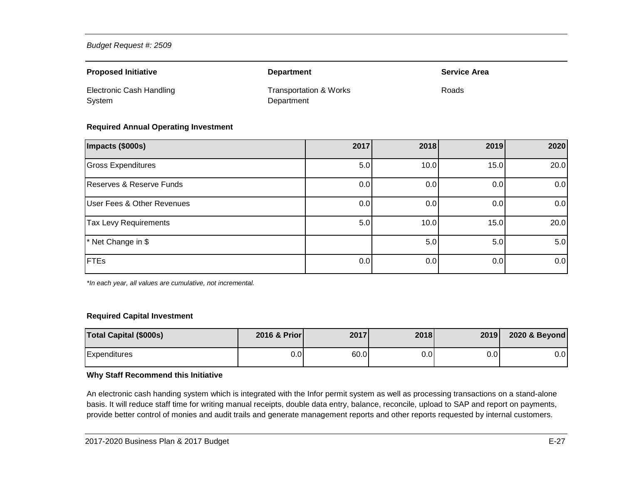| <b>Proposed Initiative</b>                | <b>Department</b>                               | <b>Service Area</b> |
|-------------------------------------------|-------------------------------------------------|---------------------|
| <b>Electronic Cash Handling</b><br>System | <b>Transportation &amp; Works</b><br>Department | Roads               |

#### **Required Annual Operating Investment**

| Impacts (\$000s)                      | 2017 | 2018 | 2019 | 2020 |
|---------------------------------------|------|------|------|------|
| <b>Gross Expenditures</b>             | 5.0  | 10.0 | 15.0 | 20.0 |
| Reserves & Reserve Funds              | 0.0  | 0.0  | 0.0  | 0.0  |
| <b>User Fees &amp; Other Revenues</b> | 0.0  | 0.0  | 0.0  | 0.0  |
| <b>Tax Levy Requirements</b>          | 5.0  | 10.0 | 15.0 | 20.0 |
| * Net Change in \$                    |      | 5.0  | 5.0  | 5.0  |
| <b>FTEs</b>                           | 0.0  | 0.0  | 0.0  | 0.0  |

*\*In each year, all values are cumulative, not incremental.*

#### **Required Capital Investment**

| <b>Total Capital (\$000s)</b> | 2016 & Prior | 2017 | 2018 | 2019 | 2020 & Beyond |
|-------------------------------|--------------|------|------|------|---------------|
| Expenditures                  | 0.01         | 60.0 | 0.0  | 0.0  | $0.0\,$       |

#### **Why Staff Recommend this Initiative**

An electronic cash handing system which is integrated with the Infor permit system as well as processing transactions on a stand-alone basis. It will reduce staff time for writing manual receipts, double data entry, balance, reconcile, upload to SAP and report on payments, provide better control of monies and audit trails and generate management reports and other reports requested by internal customers.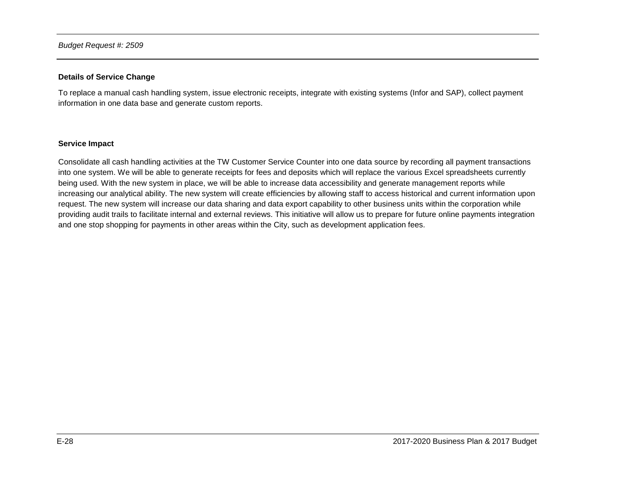#### **Details of Service Change**

To replace a manual cash handling system, issue electronic receipts, integrate with existing systems (Infor and SAP), collect payment information in one data base and generate custom reports.

#### **Service Impact**

Consolidate all cash handling activities at the TW Customer Service Counter into one data source by recording all payment transactions into one system. We will be able to generate receipts for fees and deposits which will replace the various Excel spreadsheets currently being used. With the new system in place, we will be able to increase data accessibility and generate management reports while increasing our analytical ability. The new system will create efficiencies by allowing staff to access historical and current information upon request. The new system will increase our data sharing and data export capability to other business units within the corporation while providing audit trails to facilitate internal and external reviews. This initiative will allow us to prepare for future online payments integration and one stop shopping for payments in other areas within the City, such as development application fees.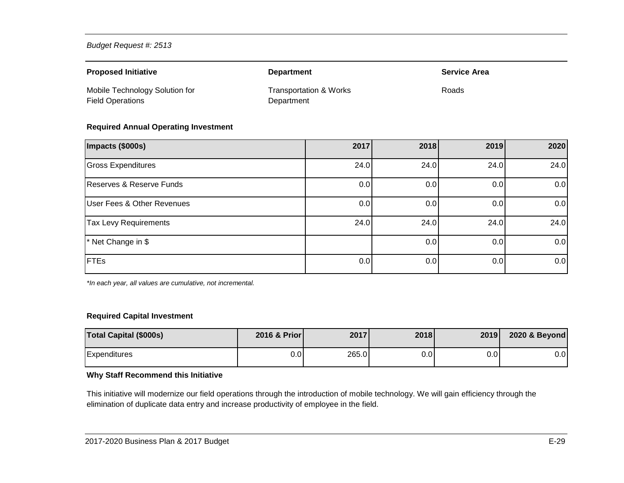| <b>Proposed Initiative</b>                                | <b>Department</b>                               | <b>Service Area</b> |
|-----------------------------------------------------------|-------------------------------------------------|---------------------|
| Mobile Technology Solution for<br><b>Field Operations</b> | <b>Transportation &amp; Works</b><br>Department | Roads               |

#### **Required Annual Operating Investment**

| Impacts (\$000s)                      | 2017 | 2018 | 2019             | 2020 |
|---------------------------------------|------|------|------------------|------|
| <b>Gross Expenditures</b>             | 24.0 | 24.0 | 24.0             | 24.0 |
| Reserves & Reserve Funds              | 0.0  | 0.0  | 0.0              | 0.0  |
| <b>User Fees &amp; Other Revenues</b> | 0.0  | 0.0  | 0.0              | 0.0  |
| <b>Tax Levy Requirements</b>          | 24.0 | 24.0 | 24.0             | 24.0 |
| * Net Change in \$                    |      | 0.0  | 0.0 <sub>l</sub> | 0.0  |
| <b>FTEs</b>                           | 0.0  | 0.0  | 0.0              | 0.0  |

*\*In each year, all values are cumulative, not incremental.*

#### **Required Capital Investment**

| <b>Total Capital (\$000s)</b> | 2016 & Prior | 2017  | 2018             | 2019 | 2020 & Beyond |
|-------------------------------|--------------|-------|------------------|------|---------------|
| <b>Expenditures</b>           | 0.0I         | 265.0 | 0.0 <sub>l</sub> | 0.01 | $0.0\,$       |

### **Why Staff Recommend this Initiative**

This initiative will modernize our field operations through the introduction of mobile technology. We will gain efficiency through the elimination of duplicate data entry and increase productivity of employee in the field.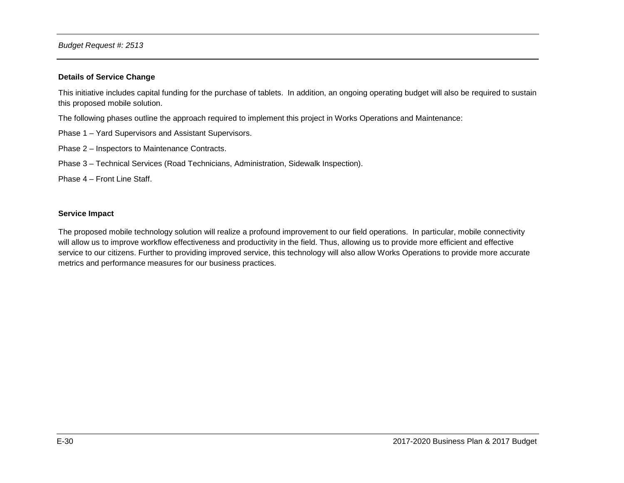#### **Details of Service Change**

This initiative includes capital funding for the purchase of tablets. In addition, an ongoing operating budget will also be required to sustain this proposed mobile solution.

The following phases outline the approach required to implement this project in Works Operations and Maintenance:

- Phase 1 Yard Supervisors and Assistant Supervisors.
- Phase 2 Inspectors to Maintenance Contracts.
- Phase 3 Technical Services (Road Technicians, Administration, Sidewalk Inspection).

Phase 4 – Front Line Staff.

#### **Service Impact**

The proposed mobile technology solution will realize a profound improvement to our field operations. In particular, mobile connectivity will allow us to improve workflow effectiveness and productivity in the field. Thus, allowing us to provide more efficient and effective service to our citizens. Further to providing improved service, this technology will also allow Works Operations to provide more accurate metrics and performance measures for our business practices.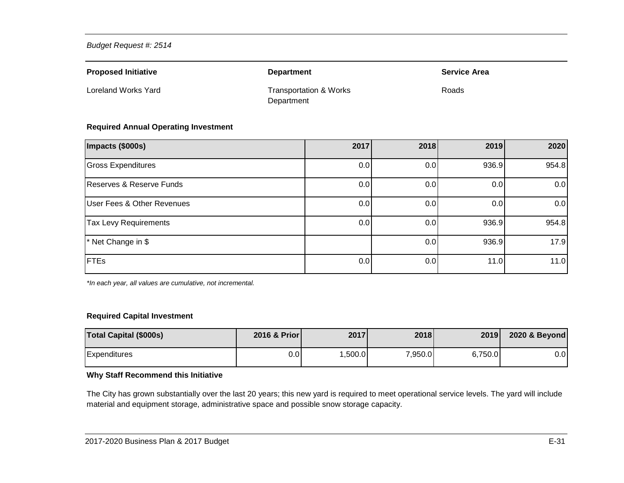| <b>Proposed Initiative</b> | <b>Department</b>                               | <b>Service Area</b> |
|----------------------------|-------------------------------------------------|---------------------|
| Loreland Works Yard        | <b>Transportation &amp; Works</b><br>Department | Roads               |

#### **Required Annual Operating Investment**

| Impacts (\$000s)                      | 2017 | 2018 | 2019  | 2020  |
|---------------------------------------|------|------|-------|-------|
| <b>Gross Expenditures</b>             | 0.0  | 0.0  | 936.9 | 954.8 |
| Reserves & Reserve Funds              | 0.0  | 0.0  | 0.0   | 0.0   |
| <b>User Fees &amp; Other Revenues</b> | 0.0  | 0.0  | 0.0   | 0.0   |
| <b>Tax Levy Requirements</b>          | 0.0  | 0.0  | 936.9 | 954.8 |
| * Net Change in \$                    |      | 0.0  | 936.9 | 17.9  |
| <b>FTEs</b>                           | 0.0  | 0.0  | 11.0  | 11.0  |

*\*In each year, all values are cumulative, not incremental.*

#### **Required Capital Investment**

| <b>Total Capital (\$000s)</b> | 2016 & Prior | 2017   | 2018    | 2019    | 2020 & Beyond |
|-------------------------------|--------------|--------|---------|---------|---------------|
| <b>Expenditures</b>           | 0.0          | ,500.0 | 7,950.0 | 6,750.0 | $0.0\,$       |

### **Why Staff Recommend this Initiative**

The City has grown substantially over the last 20 years; this new yard is required to meet operational service levels. The yard will include material and equipment storage, administrative space and possible snow storage capacity.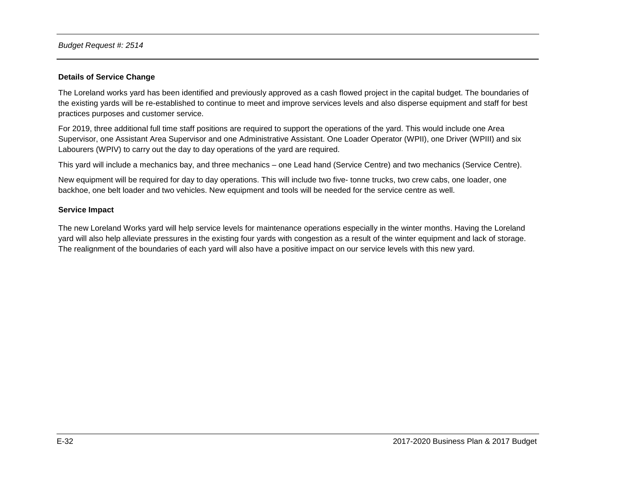#### **Details of Service Change**

The Loreland works yard has been identified and previously approved as a cash flowed project in the capital budget. The boundaries of the existing yards will be re-established to continue to meet and improve services levels and also disperse equipment and staff for best practices purposes and customer service.

For 2019, three additional full time staff positions are required to support the operations of the yard. This would include one Area Supervisor, one Assistant Area Supervisor and one Administrative Assistant. One Loader Operator (WPII), one Driver (WPIII) and six Labourers (WPIV) to carry out the day to day operations of the yard are required.

This yard will include a mechanics bay, and three mechanics – one Lead hand (Service Centre) and two mechanics (Service Centre).

New equipment will be required for day to day operations. This will include two five- tonne trucks, two crew cabs, one loader, one backhoe, one belt loader and two vehicles. New equipment and tools will be needed for the service centre as well.

#### **Service Impact**

The new Loreland Works yard will help service levels for maintenance operations especially in the winter months. Having the Loreland yard will also help alleviate pressures in the existing four yards with congestion as a result of the winter equipment and lack of storage. The realignment of the boundaries of each yard will also have a positive impact on our service levels with this new yard.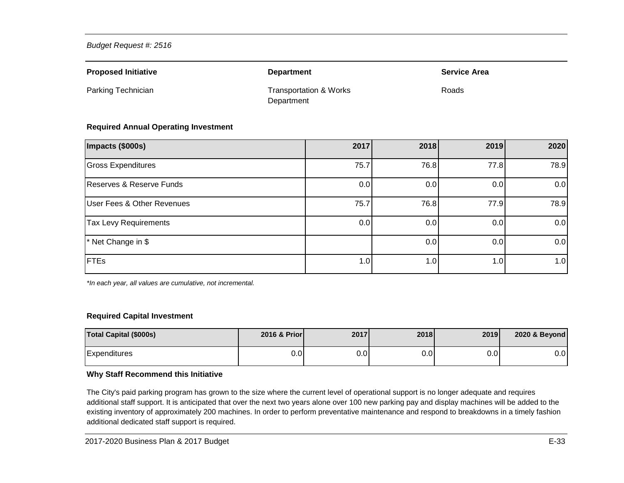| <b>Proposed Initiative</b> | <b>Department</b>                               | <b>Service Area</b> |
|----------------------------|-------------------------------------------------|---------------------|
| Parking Technician         | <b>Transportation &amp; Works</b><br>Department | Roads               |

#### **Required Annual Operating Investment**

| Impacts (\$000s)                      | 2017 | 2018 | 2019             | 2020 |
|---------------------------------------|------|------|------------------|------|
| <b>Gross Expenditures</b>             | 75.7 | 76.8 | 77.8             | 78.9 |
| Reserves & Reserve Funds              | 0.0  | 0.0  | 0.0              | 0.0  |
| <b>User Fees &amp; Other Revenues</b> | 75.7 | 76.8 | 77.9             | 78.9 |
| Tax Levy Requirements                 | 0.0  | 0.0  | 0.0              | 0.0  |
| * Net Change in \$                    |      | 0.0  | 0.0 <sub>l</sub> | 0.0  |
| <b>FTEs</b>                           | 1.0  | 1.0  | 1.0              | 1.0  |

*\*In each year, all values are cumulative, not incremental.*

#### **Required Capital Investment**

| <b>Total Capital (\$000s)</b> | 2016 & Prior | 2017 | <b>2018</b> | 2019 | 2020 & Beyond |
|-------------------------------|--------------|------|-------------|------|---------------|
| Expenditures                  | 0.0          | 0.01 | 0.01        | 0.01 | $0.0\,$       |

#### **Why Staff Recommend this Initiative**

The City's paid parking program has grown to the size where the current level of operational support is no longer adequate and requires additional staff support. It is anticipated that over the next two years alone over 100 new parking pay and display machines will be added to the existing inventory of approximately 200 machines. In order to perform preventative maintenance and respond to breakdowns in a timely fashion additional dedicated staff support is required.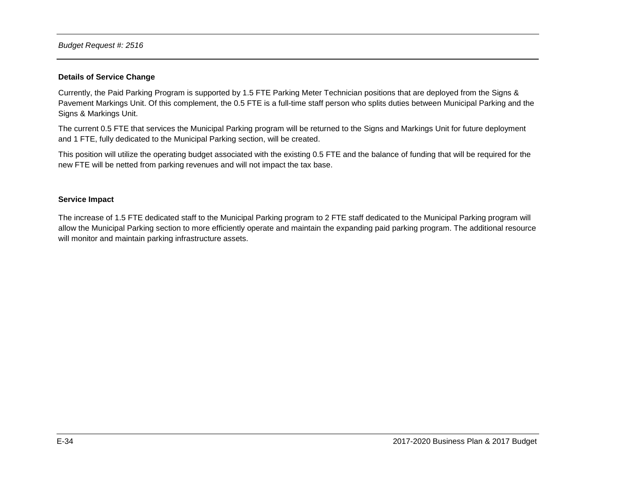#### **Details of Service Change**

Currently, the Paid Parking Program is supported by 1.5 FTE Parking Meter Technician positions that are deployed from the Signs & Pavement Markings Unit. Of this complement, the 0.5 FTE is a full-time staff person who splits duties between Municipal Parking and the Signs & Markings Unit.

The current 0.5 FTE that services the Municipal Parking program will be returned to the Signs and Markings Unit for future deployment and 1 FTE, fully dedicated to the Municipal Parking section, will be created.

This position will utilize the operating budget associated with the existing 0.5 FTE and the balance of funding that will be required for the new FTE will be netted from parking revenues and will not impact the tax base.

#### **Service Impact**

The increase of 1.5 FTE dedicated staff to the Municipal Parking program to 2 FTE staff dedicated to the Municipal Parking program will allow the Municipal Parking section to more efficiently operate and maintain the expanding paid parking program. The additional resource will monitor and maintain parking infrastructure assets.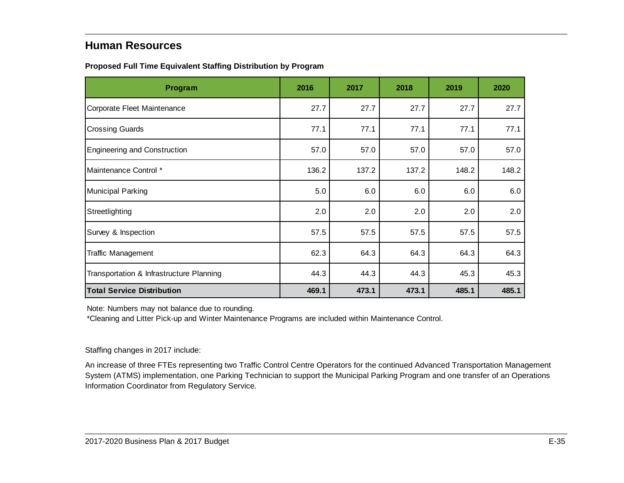## <span id="page-35-0"></span>**Human Resources**

<span id="page-35-1"></span>

|  |  | Proposed Full Time Equivalent Staffing Distribution by Program |  |
|--|--|----------------------------------------------------------------|--|
|  |  |                                                                |  |

| Program                                  | 2016  | 2017  | 2018  | 2019  | 2020  |
|------------------------------------------|-------|-------|-------|-------|-------|
| Corporate Fleet Maintenance              | 27.7  | 27.7  | 27.7  | 27.7  | 27.7  |
| <b>Crossing Guards</b>                   | 77.1  | 77.1  | 77.1  | 77.1  | 77.1  |
| <b>Engineering and Construction</b>      | 57.0  | 57.0  | 57.0  | 57.0  | 57.0  |
| Maintenance Control *                    | 136.2 | 137.2 | 137.2 | 148.2 | 148.2 |
| Municipal Parking                        | 5.0   | 6.0   | 6.0   | 6.0   | 6.0   |
| Streetlighting                           | 2.0   | 2.0   | 2.0   | 2.0   | 2.0   |
| Survey & Inspection                      | 57.5  | 57.5  | 57.5  | 57.5  | 57.5  |
| <b>Traffic Management</b>                | 62.3  | 64.3  | 64.3  | 64.3  | 64.3  |
| Transportation & Infrastructure Planning | 44.3  | 44.3  | 44.3  | 45.3  | 45.3  |
| <b>Total Service Distribution</b>        | 469.1 | 473.1 | 473.1 | 485.1 | 485.1 |

Note: Numbers may not balance due to rounding.

\*Cleaning and Litter Pick-up and Winter Maintenance Programs are included within Maintenance Control.

### Staffing changes in 2017 include:

An increase of three FTEs representing two Traffic Control Centre Operators for the continued Advanced Transportation Management System (ATMS) implementation, one Parking Technician to support the Municipal Parking Program and one transfer of an Operations Information Coordinator from Regulatory Service.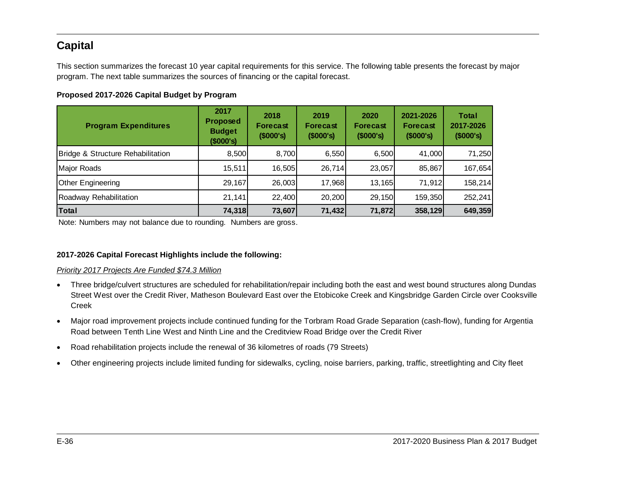# <span id="page-36-0"></span>**Capital**

This section summarizes the forecast 10 year capital requirements for this service. The following table presents the forecast by major program. The next table summarizes the sources of financing or the capital forecast.

### <span id="page-36-1"></span>**Proposed 2017-2026 Capital Budget by Program**

| <b>Program Expenditures</b>       | 2017<br><b>Proposed</b><br><b>Budget</b><br>(\$000's) | 2018<br><b>Forecast</b><br>(\$000's) | 2019<br><b>Forecast</b><br>$($ \$000's) | 2020<br><b>Forecast</b><br>$($ \$000's) | 2021-2026<br><b>Forecast</b><br>$($ \$000's) | <b>Total</b><br>2017-2026<br>(\$000's) |
|-----------------------------------|-------------------------------------------------------|--------------------------------------|-----------------------------------------|-----------------------------------------|----------------------------------------------|----------------------------------------|
| Bridge & Structure Rehabilitation | 8,500                                                 | 8,700                                | 6,550                                   | 6,500                                   | 41.000                                       | 71,250                                 |
| Major Roads                       | 15,511                                                | 16.505                               | 26,714                                  | 23.057                                  | 85,867                                       | 167,654                                |
| Other Engineering                 | 29,167                                                | 26,003                               | 17,968                                  | 13,165                                  | 71,912                                       | 158,214                                |
| Roadway Rehabilitation            | 21,141                                                | 22,400                               | 20,200                                  | 29,150                                  | 159,350                                      | 252,241                                |
| Total                             | 74,318                                                | 73,607                               | 71,432                                  | 71,872                                  | 358,129                                      | 649,359                                |

Note: Numbers may not balance due to rounding. Numbers are gross.

### **2017-2026 Capital Forecast Highlights include the following:**

#### *Priority 2017 Projects Are Funded \$74.3 Million*

- Three bridge/culvert structures are scheduled for rehabilitation/repair including both the east and west bound structures along Dundas Street West over the Credit River, Matheson Boulevard East over the Etobicoke Creek and Kingsbridge Garden Circle over Cooksville Creek
- Major road improvement projects include continued funding for the Torbram Road Grade Separation (cash-flow), funding for Argentia Road between Tenth Line West and Ninth Line and the Creditview Road Bridge over the Credit River
- Road rehabilitation projects include the renewal of 36 kilometres of roads (79 Streets)
- Other engineering projects include limited funding for sidewalks, cycling, noise barriers, parking, traffic, streetlighting and City fleet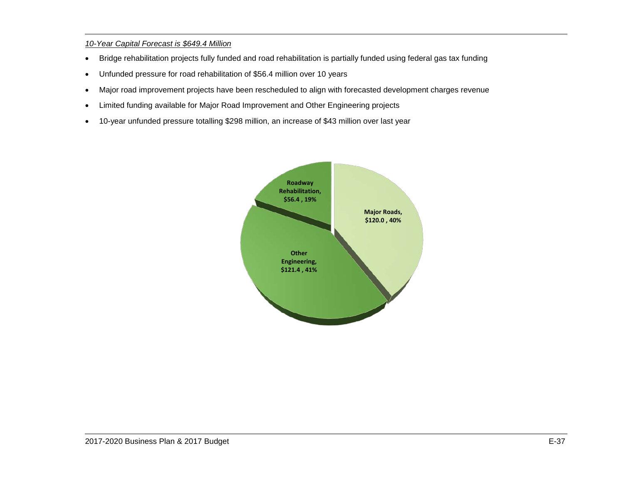### *10-Year Capital Forecast is \$649.4 Million*

- Bridge rehabilitation projects fully funded and road rehabilitation is partially funded using federal gas tax funding
- Unfunded pressure for road rehabilitation of \$56.4 million over 10 years
- Major road improvement projects have been rescheduled to align with forecasted development charges revenue
- Limited funding available for Major Road Improvement and Other Engineering projects
- 10-year unfunded pressure totalling \$298 million, an increase of \$43 million over last year

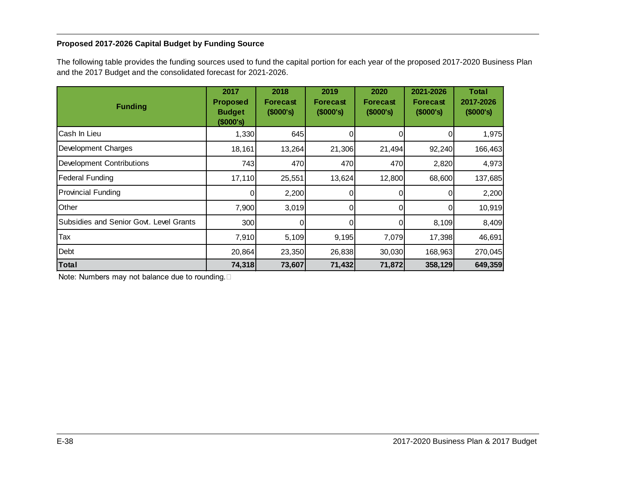### <span id="page-38-0"></span>**Proposed 2017-2026 Capital Budget by Funding Source**

The following table provides the funding sources used to fund the capital portion for each year of the proposed 2017-2020 Business Plan and the 2017 Budget and the consolidated forecast for 2021-2026.

| <b>Funding</b>                          | 2017<br><b>Proposed</b><br><b>Budget</b><br>(\$000's) | 2018<br><b>Forecast</b><br>(\$000's) | 2019<br>Forecast<br>(\$000's) | 2020<br><b>Forecast</b><br>$($ \$000's) | 2021-2026<br><b>Forecast</b><br>(\$000's) | <b>Total</b><br>2017-2026<br>(\$000's) |
|-----------------------------------------|-------------------------------------------------------|--------------------------------------|-------------------------------|-----------------------------------------|-------------------------------------------|----------------------------------------|
| Cash In Lieu                            | 1,330                                                 | 645                                  | 0                             |                                         |                                           | 1,975                                  |
| Development Charges                     | 18,161                                                | 13,264                               | 21,306                        | 21,494                                  | 92,240                                    | 166,463                                |
| <b>Development Contributions</b>        | 743                                                   | 470                                  | 470                           | 470                                     | 2,820                                     | 4,973                                  |
| <b>Federal Funding</b>                  | 17,110                                                | 25,551                               | 13,624                        | 12,800                                  | 68,600                                    | 137,685                                |
| <b>Provincial Funding</b>               | 0                                                     | 2,200                                | 0                             | 0                                       |                                           | 2,200                                  |
| Other                                   | 7,900                                                 | 3,019                                | 0                             | 0                                       |                                           | 10,919                                 |
| Subsidies and Senior Govt. Level Grants | 300                                                   | 0                                    |                               |                                         | 8,109                                     | 8,409                                  |
| Tax                                     | 7,910                                                 | 5,109                                | 9,195                         | 7,079                                   | 17,398                                    | 46,691                                 |
| Debt                                    | 20,864                                                | 23,350                               | 26,838                        | 30,030                                  | 168,963                                   | 270,045                                |
| <b>Total</b>                            | 74,318                                                | 73,607                               | 71,432                        | 71,872                                  | 358,129                                   | 649,359                                |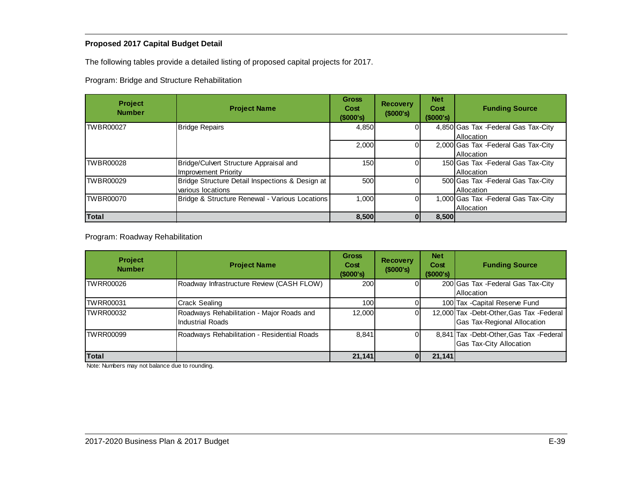### <span id="page-39-0"></span>**Proposed 2017 Capital Budget Detail**

The following tables provide a detailed listing of proposed capital projects for 2017.

Program: Bridge and Structure Rehabilitation

| <b>Project</b><br><b>Number</b> | <b>Project Name</b>                             | <b>Gross</b><br>Cost<br>$($ \$000's) | <b>Recovery</b><br>(\$000's) | <b>Net</b><br>Cost<br>(\$000's) | <b>Funding Source</b>                |
|---------------------------------|-------------------------------------------------|--------------------------------------|------------------------------|---------------------------------|--------------------------------------|
| <b>TWBR00027</b>                | <b>Bridge Repairs</b>                           | 4,850                                |                              |                                 | 4,850 Gas Tax - Federal Gas Tax-City |
|                                 |                                                 |                                      |                              |                                 | <b>Allocation</b>                    |
|                                 |                                                 | 2,000                                |                              |                                 | 2,000 Gas Tax - Federal Gas Tax-City |
|                                 |                                                 |                                      |                              |                                 | <b>Allocation</b>                    |
| TWBR00028                       | Bridge/Culvert Structure Appraisal and          | 150                                  |                              |                                 | 150 Gas Tax - Federal Gas Tax-City   |
|                                 | <b>Improvement Priority</b>                     |                                      |                              |                                 | Allocation                           |
| TWBR00029                       | Bridge Structure Detail Inspections & Design at | 500                                  |                              |                                 | 500 Gas Tax - Federal Gas Tax-City   |
|                                 | various locations                               |                                      |                              |                                 | <b>Allocation</b>                    |
| TWBR00070                       | Bridge & Structure Renewal - Various Locations  | 1.000                                |                              |                                 | 1,000 Gas Tax - Federal Gas Tax-City |
|                                 |                                                 |                                      |                              |                                 | Allocation                           |
| Total                           |                                                 | 8,500                                |                              | 8,500                           |                                      |

Program: Roadway Rehabilitation

| <b>Project</b><br><b>Number</b> | <b>Project Name</b>                                           | <b>Gross</b><br>Cost<br>(\$000's) | <b>Recovery</b><br>(\$000's) | <b>Net</b><br>Cost<br>(\$000's) | <b>Funding Source</b>                                                            |
|---------------------------------|---------------------------------------------------------------|-----------------------------------|------------------------------|---------------------------------|----------------------------------------------------------------------------------|
| TWRR00026                       | Roadway Infrastructure Review (CASH FLOW)                     | 200                               |                              |                                 | 200 Gas Tax - Federal Gas Tax-City<br><b>Allocation</b>                          |
| <b>TWRR00031</b>                | <b>Crack Sealing</b>                                          | 100                               |                              |                                 | 100 Tax - Capital Reserve Fund                                                   |
| TWRR00032                       | Roadways Rehabilitation - Major Roads and<br>Industrial Roads | 12,000                            |                              |                                 | 12,000 Tax - Debt-Other, Gas Tax - Federal<br><b>Gas Tax-Regional Allocation</b> |
| <b>TWRR00099</b>                | Roadways Rehabilitation - Residential Roads                   | 8,841                             |                              |                                 | 8,841 Tax - Debt-Other, Gas Tax - Federal<br><b>Gas Tax-City Allocation</b>      |
| Total                           |                                                               | 21,141                            |                              | 21,141                          |                                                                                  |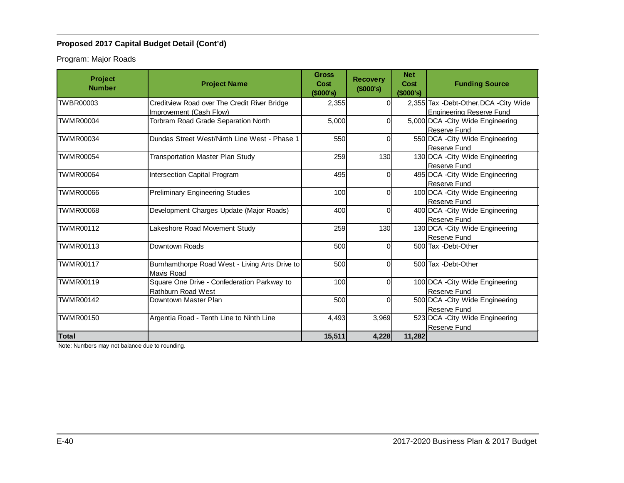Program: Major Roads

| <b>Project</b><br><b>Number</b> | <b>Project Name</b>                                               | <b>Gross</b><br>Cost<br>(\$000's) | <b>Recovery</b><br>(\$000's) | <b>Net</b><br>Cost<br>(\$000's) | <b>Funding Source</b>                             |
|---------------------------------|-------------------------------------------------------------------|-----------------------------------|------------------------------|---------------------------------|---------------------------------------------------|
| TWBR00003                       | Creditview Road over The Credit River Bridge                      | 2,355                             | 0                            |                                 | 2,355 Tax - Debt-Other, DCA - City Wide           |
|                                 | Improvement (Cash Flow)                                           |                                   |                              |                                 | <b>Engineering Reserve Fund</b>                   |
| <b>TWMR00004</b>                | Torbram Road Grade Separation North                               | 5,000                             | 0                            |                                 | 5,000 DCA - City Wide Engineering<br>Reserve Fund |
| TWMR00034                       | Dundas Street West/Ninth Line West - Phase 1                      | 550                               | 0                            |                                 | 550 DCA - City Wide Engineering<br>Reserve Fund   |
| <b>TWMR00054</b>                | <b>Transportation Master Plan Study</b>                           | 259                               | 130                          |                                 | 130 DCA - City Wide Engineering                   |
|                                 |                                                                   |                                   |                              |                                 | Reserve Fund                                      |
| <b>TWMR00064</b>                | Intersection Capital Program                                      | 495                               |                              |                                 | 495 DCA - City Wide Engineering                   |
| <b>TWMR00066</b>                |                                                                   | 100                               | 0                            |                                 | Reserve Fund                                      |
|                                 | <b>Preliminary Engineering Studies</b>                            |                                   |                              |                                 | 100 DCA - City Wide Engineering<br>Reserve Fund   |
| <b>TWMR00068</b>                | Development Charges Update (Major Roads)                          | 400                               |                              |                                 | 400 DCA - City Wide Engineering                   |
|                                 |                                                                   |                                   |                              |                                 | Reserve Fund                                      |
| <b>TWMR00112</b>                | Lakeshore Road Movement Study                                     | 259                               | 130                          |                                 | 130 DCA - City Wide Engineering                   |
|                                 |                                                                   |                                   |                              |                                 | Reserve Fund                                      |
| <b>TWMR00113</b>                | Downtown Roads                                                    | 500                               |                              |                                 | 500 Tax - Debt-Other                              |
| <b>TWMR00117</b>                | Burnhamthorpe Road West - Living Arts Drive to<br>Mavis Road      | 500                               | $\Omega$                     |                                 | 500 Tax - Debt-Other                              |
| TWMR00119                       | Square One Drive - Confederation Parkway to<br>Rathburn Road West | 100                               | 0                            |                                 | 100 DCA - City Wide Engineering<br>Reserve Fund   |
| <b>TWMR00142</b>                | Downtown Master Plan                                              | 500                               | 0                            |                                 | 500 DCA - City Wide Engineering                   |
|                                 |                                                                   |                                   |                              |                                 | Reserve Fund                                      |
| <b>TWMR00150</b>                | Argentia Road - Tenth Line to Ninth Line                          | 4,493                             | 3.969                        |                                 | 523 DCA - City Wide Engineering                   |
|                                 |                                                                   |                                   |                              |                                 | Reserve Fund                                      |
| <b>Total</b>                    |                                                                   | 15,511                            | 4,228                        | 11,282                          |                                                   |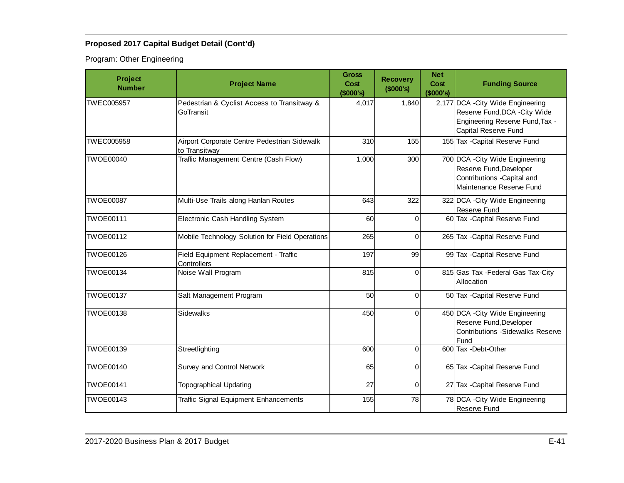Program: Other Engineering

| Project<br><b>Number</b> | <b>Project Name</b>                                           | <b>Gross</b><br>Cost<br>(\$000's) | <b>Recovery</b><br>(\$000's) | <b>Net</b><br>Cost<br>(\$000's) | <b>Funding Source</b>                                                                                                         |
|--------------------------|---------------------------------------------------------------|-----------------------------------|------------------------------|---------------------------------|-------------------------------------------------------------------------------------------------------------------------------|
| <b>TWEC005957</b>        | Pedestrian & Cyclist Access to Transitway &<br>GoTransit      | 4,017                             | 1,840                        |                                 | 2,177 DCA - City Wide Engineering<br>Reserve Fund, DCA - City Wide<br>Engineering Reserve Fund, Tax -<br>Capital Reserve Fund |
| TWEC005958               | Airport Corporate Centre Pedestrian Sidewalk<br>to Transitwav | 310                               | 155                          |                                 | 155 Tax - Capital Reserve Fund                                                                                                |
| <b>TWOE00040</b>         | Traffic Management Centre (Cash Flow)                         | 1,000                             | 300                          |                                 | 700 DCA - City Wide Engineering<br>Reserve Fund, Developer<br>Contributions -Capital and<br>Maintenance Reserve Fund          |
| <b>TWOE00087</b>         | Multi-Use Trails along Hanlan Routes                          | 643                               | 322                          |                                 | 322 DCA - City Wide Engineering<br>Reserve Fund                                                                               |
| <b>TWOE00111</b>         | Electronic Cash Handling System                               | 60                                | 0                            |                                 | 60 Tax - Capital Reserve Fund                                                                                                 |
| <b>TWOE00112</b>         | Mobile Technology Solution for Field Operations               | 265                               | $\Omega$                     |                                 | 265 Tax - Capital Reserve Fund                                                                                                |
| <b>TWOE00126</b>         | Field Equipment Replacement - Traffic<br>Controllers          | 197                               | 99                           |                                 | 99 Tax - Capital Reserve Fund                                                                                                 |
| <b>TWOE00134</b>         | Noise Wall Program                                            | 815                               | $\Omega$                     |                                 | 815 Gas Tax - Federal Gas Tax-City<br>Allocation                                                                              |
| <b>TWOE00137</b>         | Salt Management Program                                       | 50                                | $\Omega$                     |                                 | 50 Tax - Capital Reserve Fund                                                                                                 |
| <b>TWOE00138</b>         | Sidewalks                                                     | 450                               | $\overline{0}$               |                                 | 450 DCA - City Wide Engineering<br>Reserve Fund, Developer<br><b>Contributions -Sidewalks Reserve</b><br>Fund                 |
| <b>TWOE00139</b>         | Streetlighting                                                | 600                               | 0                            |                                 | 600 Tax - Debt-Other                                                                                                          |
| <b>TWOE00140</b>         | Survey and Control Network                                    | 65                                | $\Omega$                     |                                 | 65 Tax - Capital Reserve Fund                                                                                                 |
| <b>TWOE00141</b>         | <b>Topographical Updating</b>                                 | 27                                | $\Omega$                     |                                 | 27 Tax - Capital Reserve Fund                                                                                                 |
| <b>TWOE00143</b>         | Traffic Signal Equipment Enhancements                         | 155                               | 78                           |                                 | 78 DCA - City Wide Engineering<br>Reserve Fund                                                                                |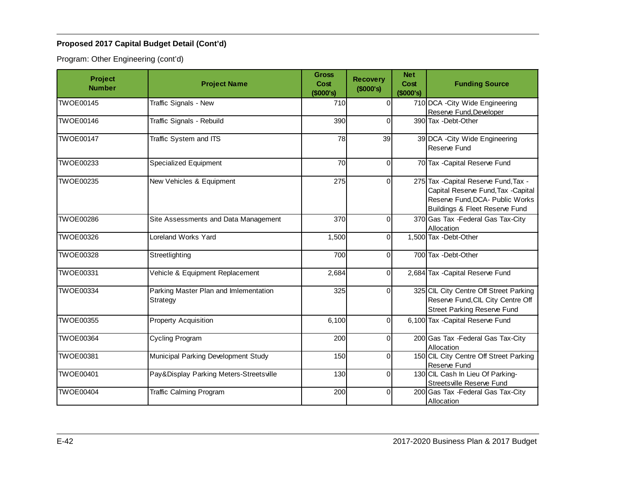Program: Other Engineering (cont'd)

| Project<br><b>Number</b> | <b>Project Name</b>                               | <b>Gross</b><br>Cost<br>(\$000's) | <b>Recovery</b><br>(\$000's) | <b>Net</b><br>Cost<br>(\$000's) | <b>Funding Source</b>                                                                                                                            |
|--------------------------|---------------------------------------------------|-----------------------------------|------------------------------|---------------------------------|--------------------------------------------------------------------------------------------------------------------------------------------------|
| TWOE00145                | Traffic Signals - New                             | 710                               | $\Omega$                     |                                 | 710 DCA - City Wide Engineering                                                                                                                  |
| <b>TWOE00146</b>         |                                                   | 390                               | 0                            |                                 | Reserve Fund, Developer<br>390 Tax -Debt-Other                                                                                                   |
|                          | Traffic Signals - Rebuild                         |                                   |                              |                                 |                                                                                                                                                  |
| <b>TWOE00147</b>         | <b>Traffic System and ITS</b>                     | 78                                | 39                           |                                 | 39 DCA - City Wide Engineering<br>Reserve Fund                                                                                                   |
| <b>TWOE00233</b>         | Specialized Equipment                             | 70                                | $\Omega$                     |                                 | 70 Tax - Capital Reserve Fund                                                                                                                    |
| <b>TWOE00235</b>         | New Vehicles & Equipment                          | 275                               | 0                            |                                 | 275 Tax - Capital Reserve Fund, Tax -<br>Capital Reserve Fund, Tax -Capital<br>Reserve Fund, DCA- Public Works<br>Buildings & Fleet Reserve Fund |
| <b>TWOE00286</b>         | Site Assessments and Data Management              | 370                               | 0                            |                                 | 370 Gas Tax - Federal Gas Tax-City<br>Allocation                                                                                                 |
| <b>TWOE00326</b>         | Loreland Works Yard                               | 1,500                             | $\Omega$                     |                                 | 1,500 Tax - Debt-Other                                                                                                                           |
| <b>TWOE00328</b>         | Streetlighting                                    | 700                               | $\Omega$                     |                                 | 700 Tax - Debt-Other                                                                                                                             |
| <b>TWOE00331</b>         | Vehicle & Equipment Replacement                   | 2,684                             | 0                            |                                 | 2,684 Tax - Capital Reserve Fund                                                                                                                 |
| <b>TWOE00334</b>         | Parking Master Plan and Imlementation<br>Strategy | 325                               | 0                            |                                 | 325 CIL City Centre Off Street Parking<br>Reserve Fund, CIL City Centre Off<br><b>Street Parking Reserve Fund</b>                                |
| <b>TWOE00355</b>         | <b>Property Acquisition</b>                       | 6,100                             | $\Omega$                     |                                 | 6,100 Tax - Capital Reserve Fund                                                                                                                 |
| <b>TWOE00364</b>         | Cycling Program                                   | 200                               | $\Omega$                     |                                 | 200 Gas Tax - Federal Gas Tax-City<br>Allocation                                                                                                 |
| <b>TWOE00381</b>         | Municipal Parking Development Study               | 150                               | $\Omega$                     |                                 | 150 CIL City Centre Off Street Parking<br>Reserve Fund                                                                                           |
| <b>TWOE00401</b>         | Pay&Display Parking Meters-Streetsville           | 130                               | 0                            |                                 | 130 CIL Cash In Lieu Of Parking-<br>Streetsville Reserve Fund                                                                                    |
| <b>TWOE00404</b>         | <b>Traffic Calming Program</b>                    | 200                               | 0                            |                                 | 200 Gas Tax - Federal Gas Tax-City<br>Allocation                                                                                                 |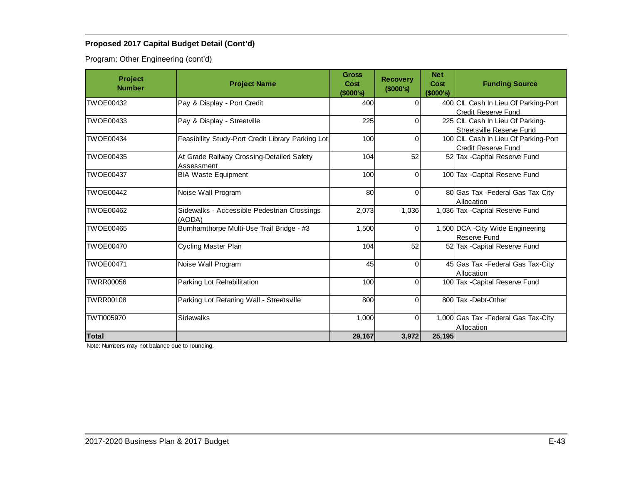Program: Other Engineering (cont'd)

| <b>Project</b><br><b>Number</b> | <b>Project Name</b>                                     | <b>Gross</b><br>Cost<br>(\$000's) | <b>Recovery</b><br>(\$000's) | <b>Net</b><br>Cost<br>(\$000's) | <b>Funding Source</b>                                         |  |
|---------------------------------|---------------------------------------------------------|-----------------------------------|------------------------------|---------------------------------|---------------------------------------------------------------|--|
| TWOE00432                       | Pay & Display - Port Credit                             | 400                               | 0l                           |                                 | 400 CIL Cash In Lieu Of Parking-Port<br>Credit Reserve Fund   |  |
| TWOE00433                       | Pay & Display - Streetville                             | 225                               | $\Omega$                     |                                 | 225 CIL Cash In Lieu Of Parking-<br>Streetsville Reserve Fund |  |
| <b>TWOE00434</b>                | Feasibility Study-Port Credit Library Parking Lot       | 100                               | $\Omega$                     |                                 | 100 CIL Cash In Lieu Of Parking-Port<br>Credit Reserve Fund   |  |
| TWOE00435                       | At Grade Railway Crossing-Detailed Safety<br>Assessment | 104                               | 52                           |                                 | 52 Tax - Capital Reserve Fund                                 |  |
| <b>TWOE00437</b>                | <b>BIA Waste Equipment</b>                              | 100                               | $\Omega$                     |                                 | 100 Tax - Capital Reserve Fund                                |  |
| <b>TWOE00442</b>                | Noise Wall Program                                      | 80                                | $\Omega$                     |                                 | 80 Gas Tax - Federal Gas Tax-City<br>Allocation               |  |
| TWOE00462                       | Sidewalks - Accessible Pedestrian Crossings<br>(AODA)   | 2,073                             | 1,036                        |                                 | 1,036 Tax - Capital Reserve Fund                              |  |
| <b>TWOE00465</b>                | Burnhamthorpe Multi-Use Trail Bridge - #3               | 1,500                             | $\overline{0}$               |                                 | 1,500 DCA - City Wide Engineering<br><b>Reserve Fund</b>      |  |
| <b>TWOE00470</b>                | Cycling Master Plan                                     | 104                               | 52                           |                                 | 52 Tax - Capital Reserve Fund                                 |  |
| <b>TWOE00471</b>                | Noise Wall Program                                      | 45                                | $\Omega$                     |                                 | 45 Gas Tax - Federal Gas Tax-City<br>Allocation               |  |
| <b>TWRR00056</b>                | Parking Lot Rehabilitation                              | 100                               | $\Omega$                     |                                 | 100 Tax - Capital Reserve Fund                                |  |
| <b>TWRR00108</b>                | Parking Lot Retaning Wall - Streetsville                | 800                               | $\Omega$                     |                                 | 800 Tax - Debt-Other                                          |  |
| <b>TWTI005970</b>               | Sidewalks                                               | 1,000                             | $\Omega$                     |                                 | 1,000 Gas Tax - Federal Gas Tax-City<br>Allocation            |  |
| <b>Total</b>                    |                                                         | 29,167                            | 3,972                        | 25,195                          |                                                               |  |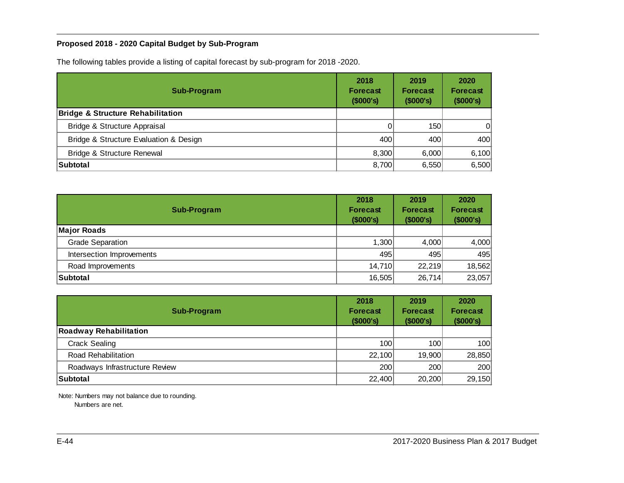## <span id="page-44-0"></span>**Proposed 2018 - 2020 Capital Budget by Sub-Program**

The following tables provide a listing of capital forecast by sub-program for 2018 -2020.

| Sub-Program                                  | 2018<br><b>Forecast</b><br>(\$000's) | 2019<br><b>Forecast</b><br>(\$000's) | 2020<br><b>Forecast</b><br>(\$000's) |  |
|----------------------------------------------|--------------------------------------|--------------------------------------|--------------------------------------|--|
| <b>Bridge &amp; Structure Rehabilitation</b> |                                      |                                      |                                      |  |
| Bridge & Structure Appraisal                 |                                      | 150                                  | 0                                    |  |
| Bridge & Structure Evaluation & Design       | 400                                  | 400                                  | 400                                  |  |
| <b>Bridge &amp; Structure Renewal</b>        | 8,300                                | 6.000                                | 6,100                                |  |
| Subtotal                                     | 8,700                                | 6,550                                | 6,500                                |  |

| <b>Sub-Program</b>        | 2018<br><b>Forecast</b><br>(\$000's) | 2019<br><b>Forecast</b><br>(\$000's) | 2020<br><b>Forecast</b><br>(\$000's) |
|---------------------------|--------------------------------------|--------------------------------------|--------------------------------------|
| <b>Major Roads</b>        |                                      |                                      |                                      |
| <b>Grade Separation</b>   | 1,300                                | 4,000                                | 4,000                                |
| Intersection Improvements | 495                                  | 495                                  | 495                                  |
| Road Improvements         | 14,710                               | 22,219                               | 18,562                               |
| Subtotal                  | 16,505                               | 26,714                               | 23,057                               |

| Sub-Program                    | 2018<br><b>Forecast</b><br>(\$000's) | 2019<br>Forecast<br>(\$000's) | 2020<br><b>Forecast</b><br>(\$000's) |  |
|--------------------------------|--------------------------------------|-------------------------------|--------------------------------------|--|
| <b>Roadway Rehabilitation</b>  |                                      |                               |                                      |  |
| <b>Crack Sealing</b>           | 100                                  | 100                           | 100                                  |  |
| Road Rehabilitation            | 22,100                               | 19,900                        | 28,850                               |  |
| Roadways Infrastructure Review | 200                                  | 200                           | 200                                  |  |
| Subtotal                       | 22,400                               | 20,200                        | 29,150                               |  |

Note: Numbers may not balance due to rounding.

Numbers are net.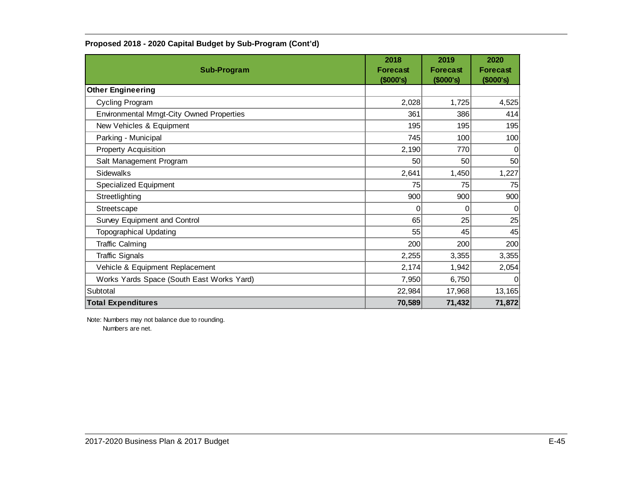| <b>Sub-Program</b>                              | 2018<br><b>Forecast</b><br>(\$000's) | 2019<br><b>Forecast</b><br>(\$000's) | 2020<br><b>Forecast</b><br>(\$000's) |
|-------------------------------------------------|--------------------------------------|--------------------------------------|--------------------------------------|
| <b>Other Engineering</b>                        |                                      |                                      |                                      |
| Cycling Program                                 | 2,028                                | 1,725                                | 4,525                                |
| <b>Environmental Mmgt-City Owned Properties</b> | 361                                  | 386                                  | 414                                  |
| New Vehicles & Equipment                        | 195                                  | 195                                  | 195                                  |
| Parking - Municipal                             | 745                                  | 100                                  | 100                                  |
| <b>Property Acquisition</b>                     | 2,190                                | 770                                  | $\Omega$                             |
| Salt Management Program                         | 50                                   | 50                                   | 50                                   |
| <b>Sidewalks</b>                                | 2,641                                | 1,450                                | 1,227                                |
| <b>Specialized Equipment</b>                    | 75                                   | 75                                   | 75                                   |
| Streetlighting                                  | 900                                  | 900                                  | 900                                  |
| Streetscape                                     | 0                                    | 0                                    | 0                                    |
| Survey Equipment and Control                    | 65                                   | 25                                   | 25                                   |
| <b>Topographical Updating</b>                   | 55                                   | 45                                   | 45                                   |
| <b>Traffic Calming</b>                          | 200                                  | 200                                  | 200                                  |
| <b>Traffic Signals</b>                          | 2,255                                | 3,355                                | 3,355                                |
| Vehicle & Equipment Replacement                 | 2,174                                | 1,942                                | 2,054                                |
| Works Yards Space (South East Works Yard)       | 7,950                                | 6,750                                | $\Omega$                             |
| Subtotal                                        | 22,984                               | 17,968                               | 13,165                               |
| <b>Total Expenditures</b>                       | 70,589                               | 71,432                               | 71,872                               |

### **Proposed 2018 - 2020 Capital Budget by Sub-Program (Cont'd)**

Note: Numbers may not balance due to rounding. Numbers are net.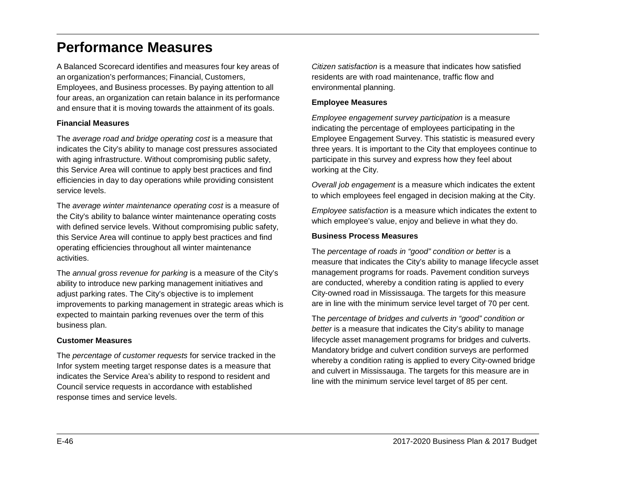# <span id="page-46-0"></span>**Performance Measures**

A Balanced Scorecard identifies and measures four key areas of an organization's performances; Financial, Customers, Employees, and Business processes. By paying attention to all four areas, an organization can retain balance in its performance and ensure that it is moving towards the attainment of its goals.

#### **Financial Measures**

The *average road and bridge operating cost* is a measure that indicates the City's ability to manage cost pressures associated with aging infrastructure. Without compromising public safety, this Service Area will continue to apply best practices and find efficiencies in day to day operations while providing consistent service levels.

The *average winter maintenance operating cost* is a measure of the City's ability to balance winter maintenance operating costs with defined service levels. Without compromising public safety, this Service Area will continue to apply best practices and find operating efficiencies throughout all winter maintenance activities.

The *annual gross revenue for parking* is a measure of the City's ability to introduce new parking management initiatives and adjust parking rates. The City's objective is to implement improvements to parking management in strategic areas which is expected to maintain parking revenues over the term of this business plan.

### **Customer Measures**

The *percentage of customer requests* for service tracked in the Infor system meeting target response dates is a measure that indicates the Service Area's ability to respond to resident and Council service requests in accordance with established response times and service levels.

*Citizen satisfaction* is a measure that indicates how satisfied residents are with road maintenance, traffic flow and environmental planning.

### **Employee Measures**

*Employee engagement survey participation* is a measure indicating the percentage of employees participating in the Employee Engagement Survey. This statistic is measured every three years. It is important to the City that employees continue to participate in this survey and express how they feel about working at the City.

*Overall job engagement* is a measure which indicates the extent to which employees feel engaged in decision making at the City.

*Employee satisfaction* is a measure which indicates the extent to which employee's value, enjoy and believe in what they do.

### **Business Process Measures**

The *percentage of roads in "good" condition or better* is a measure that indicates the City's ability to manage lifecycle asset management programs for roads. Pavement condition surveys are conducted, whereby a condition rating is applied to every City-owned road in Mississauga. The targets for this measure are in line with the minimum service level target of 70 per cent.

The *percentage of bridges and culverts in "good" condition or better* is a measure that indicates the City's ability to manage lifecycle asset management programs for bridges and culverts. Mandatory bridge and culvert condition surveys are performed whereby a condition rating is applied to every City-owned bridge and culvert in Mississauga. The targets for this measure are in line with the minimum service level target of 85 per cent.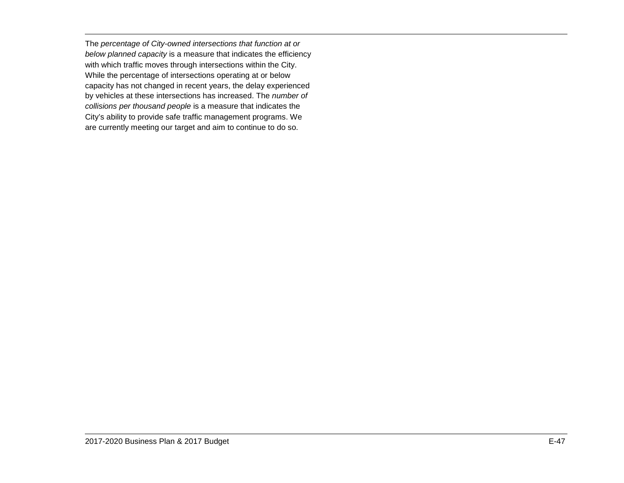The *percentage of City-owned intersections that function at or below planned capacity* is a measure that indicates the efficiency with which traffic moves through intersections within the City. While the percentage of intersections operating at or below capacity has not changed in recent years, the delay experienced by vehicles at these intersections has increased. The *number of collisions per thousand people* is a measure that indicates the City's ability to provide safe traffic management programs. We are currently meeting our target and aim to continue to do so.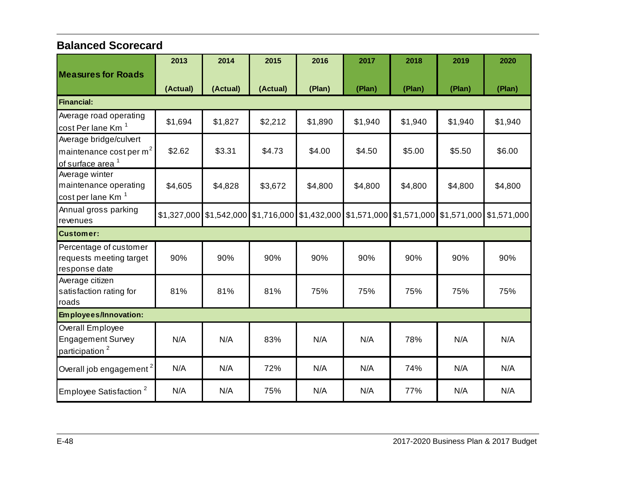# <span id="page-48-0"></span>**Balanced Scorecard**

|                                                                                               | 2013     | 2014     | 2015     | 2016    | 2017                                                                                            | 2018    | 2019    | 2020    |
|-----------------------------------------------------------------------------------------------|----------|----------|----------|---------|-------------------------------------------------------------------------------------------------|---------|---------|---------|
| <b>Measures for Roads</b>                                                                     | (Actual) | (Actual) | (Actual) | (Plan)  | (Plan)                                                                                          | (Plan)  | (Plan)  | (Plan)  |
| <b>Financial:</b>                                                                             |          |          |          |         |                                                                                                 |         |         |         |
| Average road operating<br>cost Per lane Km <sup>1</sup>                                       | \$1,694  | \$1,827  | \$2,212  | \$1,890 | \$1,940                                                                                         | \$1,940 | \$1,940 | \$1,940 |
| Average bridge/culvert<br>maintenance cost per m <sup>2</sup><br>of surface area <sup>1</sup> | \$2.62   | \$3.31   | \$4.73   | \$4.00  | \$4.50                                                                                          | \$5.00  | \$5.50  | \$6.00  |
| Average winter<br>maintenance operating<br>cost per lane Km <sup>1</sup>                      | \$4,605  | \$4,828  | \$3,672  | \$4,800 | \$4,800                                                                                         | \$4,800 | \$4,800 | \$4,800 |
| Annual gross parking<br>revenues                                                              |          |          |          |         | \$1,327,000 \$1,542,000 \$1,716,000 \$1,432,000 \$1,571,000 \$1,571,000 \$1,571,000 \$1,571,000 |         |         |         |
| <b>Customer:</b>                                                                              |          |          |          |         |                                                                                                 |         |         |         |
| Percentage of customer<br>requests meeting target<br>response date                            | 90%      | 90%      | 90%      | 90%     | 90%                                                                                             | 90%     | 90%     | 90%     |
| Average citizen<br>satisfaction rating for<br>roads                                           | 81%      | 81%      | 81%      | 75%     | 75%                                                                                             | 75%     | 75%     | 75%     |
| Employees/Innovation:                                                                         |          |          |          |         |                                                                                                 |         |         |         |
| Overall Employee<br><b>Engagement Survey</b><br>participation <sup>2</sup>                    | N/A      | N/A      | 83%      | N/A     | N/A                                                                                             | 78%     | N/A     | N/A     |
| Overall job engagement <sup>2</sup>                                                           | N/A      | N/A      | 72%      | N/A     | N/A                                                                                             | 74%     | N/A     | N/A     |
| Employee Satisfaction <sup>2</sup>                                                            | N/A      | N/A      | 75%      | N/A     | N/A                                                                                             | 77%     | N/A     | N/A     |